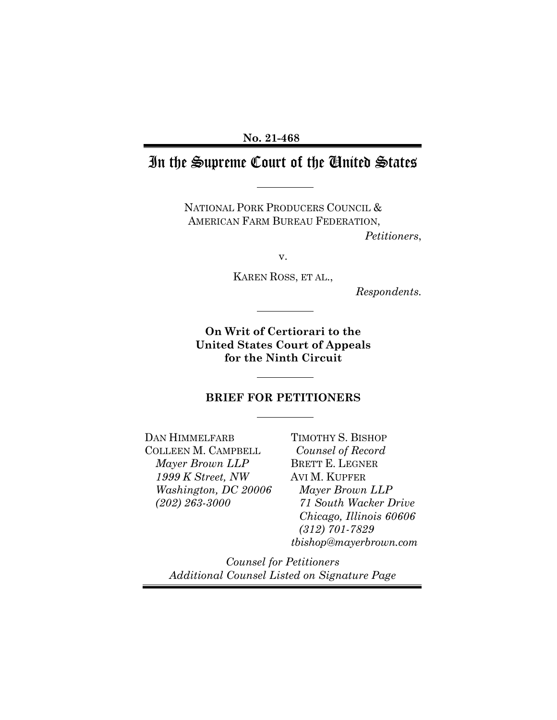**No. 21-468** 

# In the Supreme Court of the United States

NATIONAL PORK PRODUCERS COUNCIL & AMERICAN FARM BUREAU FEDERATION, *Petitioners*,

v.

KAREN ROSS, ET AL.,

*Respondents.*

**On Writ of Certiorari to the United States Court of Appeals for the Ninth Circuit** 

#### **BRIEF FOR PETITIONERS**

DAN HIMMELFARB COLLEEN M. CAMPBELL *Mayer Brown LLP 1999 K Street, NW Washington, DC 20006 (202) 263-3000* 

TIMOTHY S. BISHOP *Counsel of Record* BRETT E. LEGNER AVI M. KUPFER *Mayer Brown LLP 71 South Wacker Drive Chicago, Illinois 60606 (312) 701-7829 tbishop@mayerbrown.com*

*Counsel for Petitioners Additional Counsel Listed on Signature Page*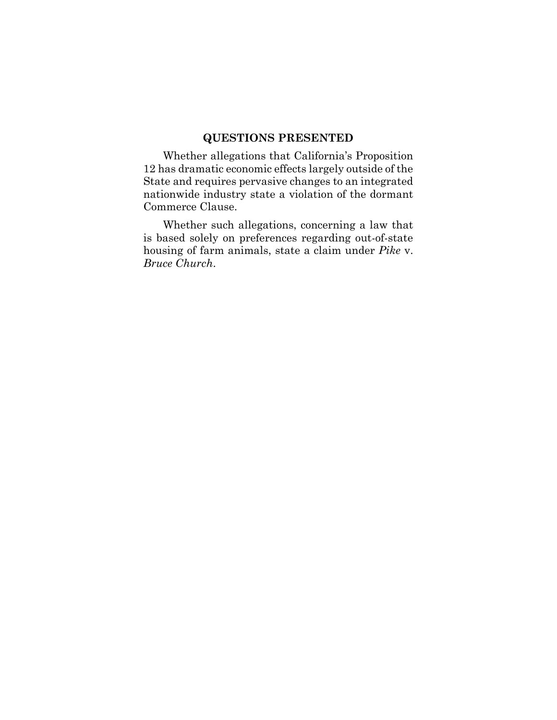## **QUESTIONS PRESENTED**

Whether allegations that California's Proposition 12 has dramatic economic effects largely outside of the State and requires pervasive changes to an integrated nationwide industry state a violation of the dormant Commerce Clause.

Whether such allegations, concerning a law that is based solely on preferences regarding out-of-state housing of farm animals, state a claim under *Pike* v. *Bruce Church*.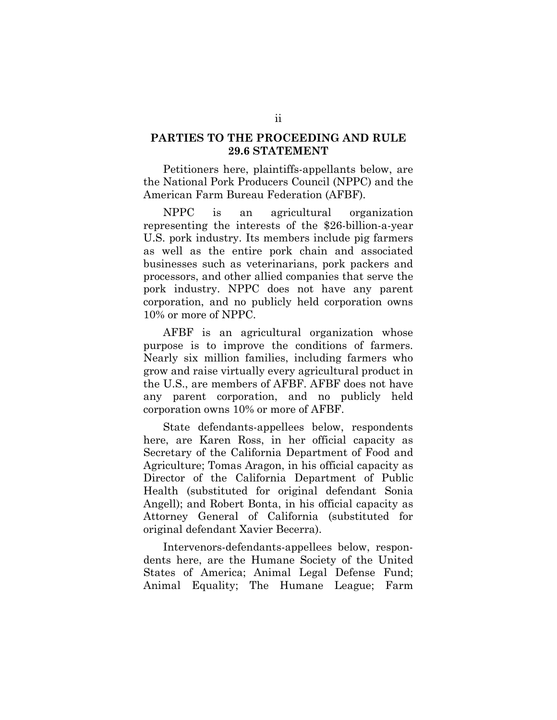### **PARTIES TO THE PROCEEDING AND RULE 29.6 STATEMENT**

Petitioners here, plaintiffs-appellants below, are the National Pork Producers Council (NPPC) and the American Farm Bureau Federation (AFBF).

NPPC is an agricultural organization representing the interests of the \$26-billion-a-year U.S. pork industry. Its members include pig farmers as well as the entire pork chain and associated businesses such as veterinarians, pork packers and processors, and other allied companies that serve the pork industry. NPPC does not have any parent corporation, and no publicly held corporation owns 10% or more of NPPC.

AFBF is an agricultural organization whose purpose is to improve the conditions of farmers. Nearly six million families, including farmers who grow and raise virtually every agricultural product in the U.S., are members of AFBF. AFBF does not have any parent corporation, and no publicly held corporation owns 10% or more of AFBF.

State defendants-appellees below, respondents here, are Karen Ross, in her official capacity as Secretary of the California Department of Food and Agriculture; Tomas Aragon, in his official capacity as Director of the California Department of Public Health (substituted for original defendant Sonia Angell); and Robert Bonta, in his official capacity as Attorney General of California (substituted for original defendant Xavier Becerra).

Intervenors-defendants-appellees below, respondents here, are the Humane Society of the United States of America; Animal Legal Defense Fund; Animal Equality; The Humane League; Farm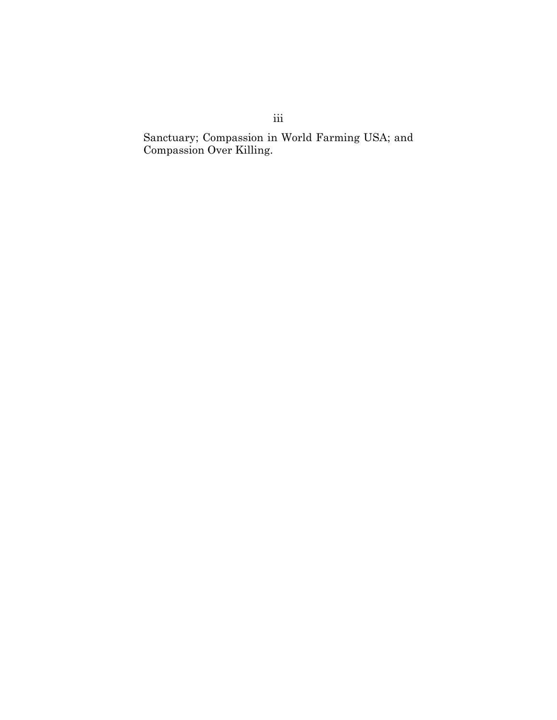Sanctuary; Compassion in World Farming USA; and Compassion Over Killing.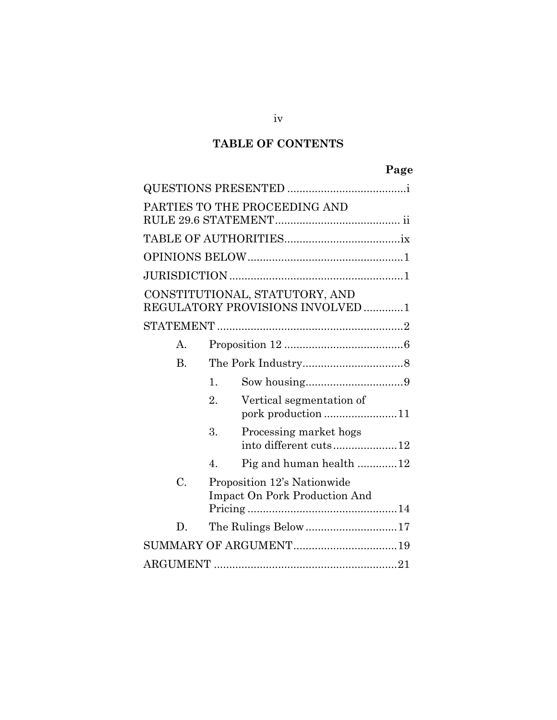## **TABLE OF CONTENTS**

|              |                  |                                                                     | Page |
|--------------|------------------|---------------------------------------------------------------------|------|
|              |                  |                                                                     |      |
|              |                  | PARTIES TO THE PROCEEDING AND                                       |      |
|              |                  |                                                                     |      |
|              |                  |                                                                     |      |
|              |                  |                                                                     |      |
|              |                  | CONSTITUTIONAL, STATUTORY, AND<br>REGULATORY PROVISIONS INVOLVED 1  |      |
|              |                  |                                                                     |      |
| $A_{\cdot}$  |                  |                                                                     |      |
| $\mathbf{B}$ |                  |                                                                     |      |
|              | 1.               |                                                                     |      |
|              | 2.               | Vertical segmentation of                                            |      |
|              | 3.               | Processing market hogs<br>into different cuts12                     |      |
|              | $\overline{4}$ . | Pig and human health 12                                             |      |
| C.           |                  | Proposition 12's Nationwide<br><b>Impact On Pork Production And</b> |      |
| D.           |                  | The Rulings Below 17                                                |      |
|              |                  |                                                                     |      |
|              |                  |                                                                     |      |
|              |                  |                                                                     |      |

iv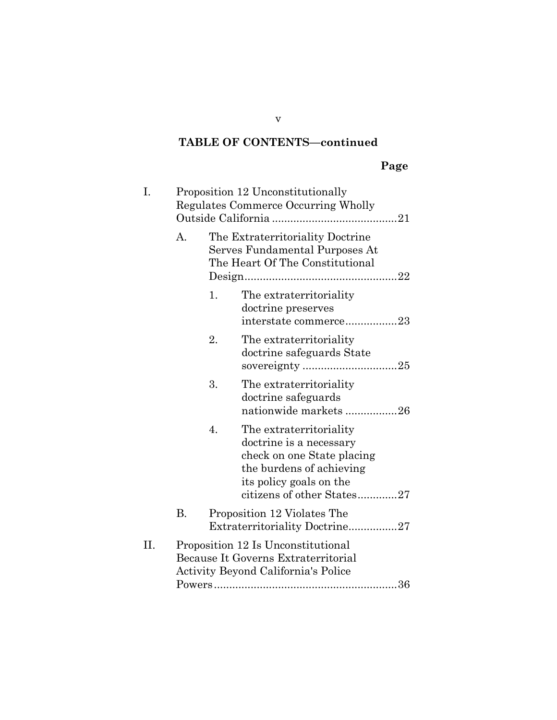## **Page**

| I.  |           |    | Proposition 12 Unconstitutionally<br>Regulates Commerce Occurring Wholly                                                                                              |
|-----|-----------|----|-----------------------------------------------------------------------------------------------------------------------------------------------------------------------|
|     | A.        |    | The Extraterritoriality Doctrine<br>Serves Fundamental Purposes At<br>The Heart Of The Constitutional                                                                 |
|     |           | 1. | The extraterritoriality<br>doctrine preserves<br>interstate commerce23                                                                                                |
|     |           | 2. | The extraterritoriality<br>doctrine safeguards State                                                                                                                  |
|     |           | 3. | The extraterritoriality<br>doctrine safeguards<br>nationwide markets26                                                                                                |
|     |           | 4. | The extraterritoriality<br>doctrine is a necessary<br>check on one State placing<br>the burdens of achieving<br>its policy goals on the<br>citizens of other States27 |
|     | <b>B.</b> |    | Proposition 12 Violates The<br>Extraterritoriality Doctrine27                                                                                                         |
| II. |           |    | Proposition 12 Is Unconstitutional<br>Because It Governs Extraterritorial<br><b>Activity Beyond California's Police</b>                                               |

v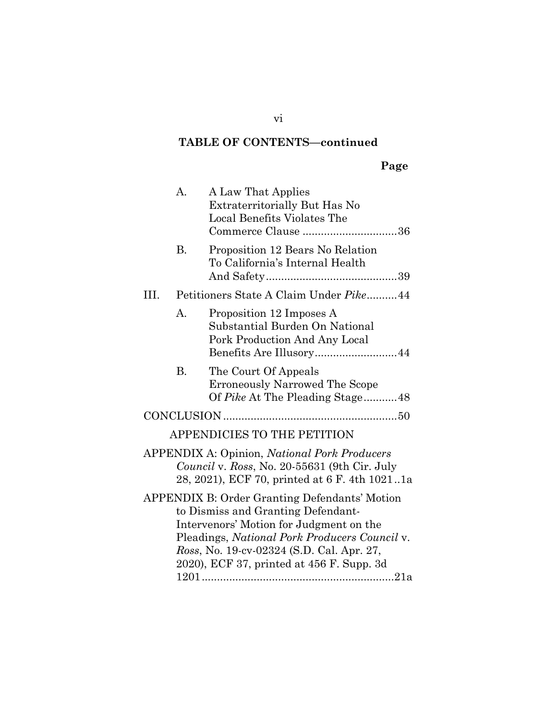vi

|--|

|      | A. | A Law That Applies<br>Extraterritorially But Has No<br>Local Benefits Violates The<br>Commerce Clause 36                                                    |
|------|----|-------------------------------------------------------------------------------------------------------------------------------------------------------------|
|      | В. | Proposition 12 Bears No Relation<br>To California's Internal Health                                                                                         |
| III. |    | Petitioners State A Claim Under Pike44                                                                                                                      |
|      | A. | Proposition 12 Imposes A<br>Substantial Burden On National<br>Pork Production And Any Local<br>Benefits Are Illusory44                                      |
|      | Β. | The Court Of Appeals<br><b>Erroneously Narrowed The Scope</b><br>Of Pike At The Pleading Stage48                                                            |
|      |    |                                                                                                                                                             |
|      |    | APPENDICIES TO THE PETITION                                                                                                                                 |
|      |    | <b>APPENDIX A: Opinion, National Pork Producers</b><br><i>Council v. Ross, No.</i> 20-55631 (9th Cir. July<br>28, 2021), ECF 70, printed at 6 F. 4th 10211a |
|      |    | <b>APPENDIX B: Order Granting Defendants' Motion</b>                                                                                                        |
|      |    | to Dismiss and Granting Defendant-                                                                                                                          |
|      |    | Intervenors' Motion for Judgment on the                                                                                                                     |
|      |    | Pleadings, National Pork Producers Council v.                                                                                                               |
|      |    | Ross, No. 19-cv-02324 (S.D. Cal. Apr. 27,<br>2020), ECF 37, printed at 456 F. Supp. 3d                                                                      |
|      |    |                                                                                                                                                             |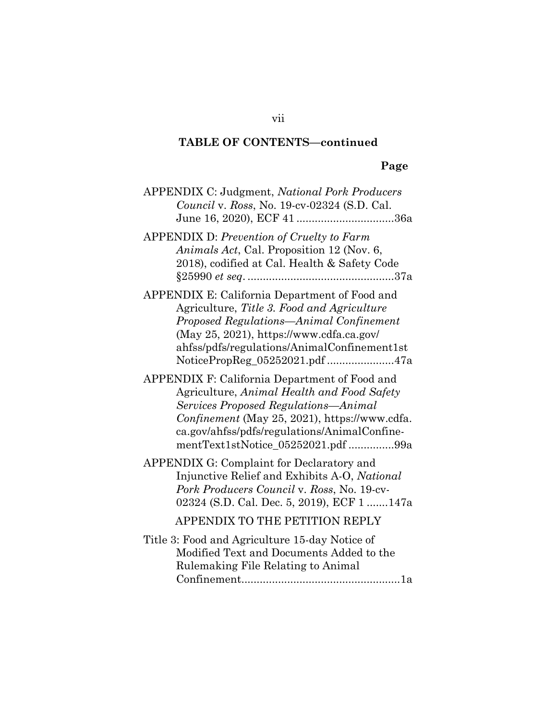## **Page**

| <b>APPENDIX C: Judgment, National Pork Producers</b><br>Council v. Ross, No. 19-cv-02324 (S.D. Cal.<br>June 16, 2020), ECF 41 36a                                                                                                                                          |
|----------------------------------------------------------------------------------------------------------------------------------------------------------------------------------------------------------------------------------------------------------------------------|
| <b>APPENDIX D: Prevention of Cruelty to Farm</b><br>Animals Act, Cal. Proposition 12 (Nov. 6,<br>2018), codified at Cal. Health & Safety Code                                                                                                                              |
| APPENDIX E: California Department of Food and<br>Agriculture, Title 3. Food and Agriculture<br>Proposed Regulations-Animal Confinement<br>(May 25, 2021), https://www.cdfa.ca.gov/<br>ahfss/pdfs/regulations/AnimalConfinement1st<br>NoticePropReg_05252021.pdf 47a        |
| APPENDIX F: California Department of Food and<br>Agriculture, Animal Health and Food Safety<br>Services Proposed Regulations-Animal<br>Confinement (May 25, 2021), https://www.cdfa.<br>ca.gov/ahfss/pdfs/regulations/AnimalConfine-<br>mentText1stNotice_05252021.pdf 99a |
| APPENDIX G: Complaint for Declaratory and<br>Injunctive Relief and Exhibits A-O, National<br>Pork Producers Council v. Ross, No. 19-cv-<br>02324 (S.D. Cal. Dec. 5, 2019), ECF 1 147a                                                                                      |
| APPENDIX TO THE PETITION REPLY                                                                                                                                                                                                                                             |
| Title 3: Food and Agriculture 15-day Notice of<br>Modified Text and Documents Added to the<br>Rulemaking File Relating to Animal                                                                                                                                           |

vii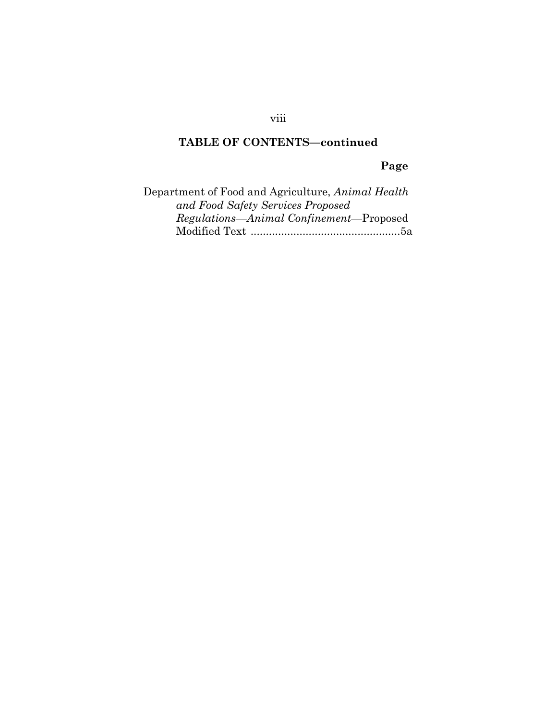**Page**

| Department of Food and Agriculture, Animal Health |
|---------------------------------------------------|
| and Food Safety Services Proposed                 |
| Regulations—Animal Confinement—Proposed           |
|                                                   |

viii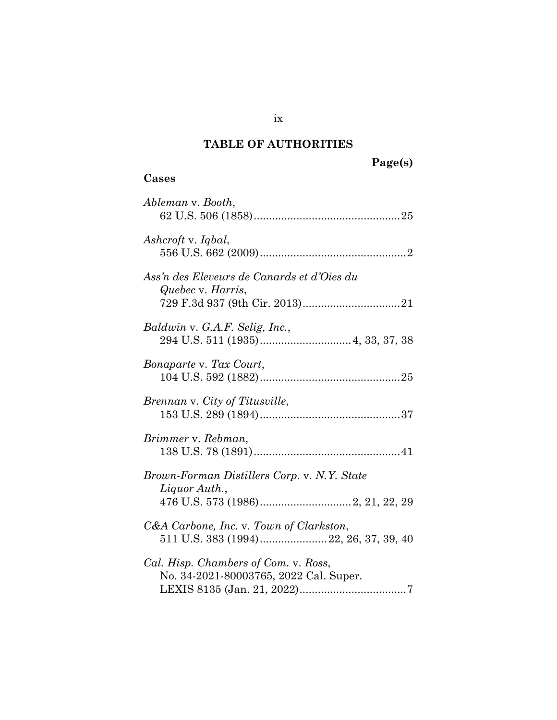## **TABLE OF AUTHORITIES**

| Page(s) |
|---------|
|---------|

## **Cases**

| Ableman v. Booth,                                                              |
|--------------------------------------------------------------------------------|
| Ashcroft v. Iqbal,                                                             |
| Ass'n des Eleveurs de Canards et d'Oies du<br>Quebec v. Harris,                |
| Baldwin v. G.A.F. Selig, Inc.,                                                 |
| Bonaparte v. Tax Court,                                                        |
| Brennan v. City of Titusville,                                                 |
| Brimmer v. Rebman,                                                             |
| Brown-Forman Distillers Corp. v. N.Y. State<br>Liquor Auth.,                   |
| C&A Carbone, Inc. v. Town of Clarkston,                                        |
| Cal. Hisp. Chambers of Com. v. Ross,<br>No. 34-2021-80003765, 2022 Cal. Super. |

ix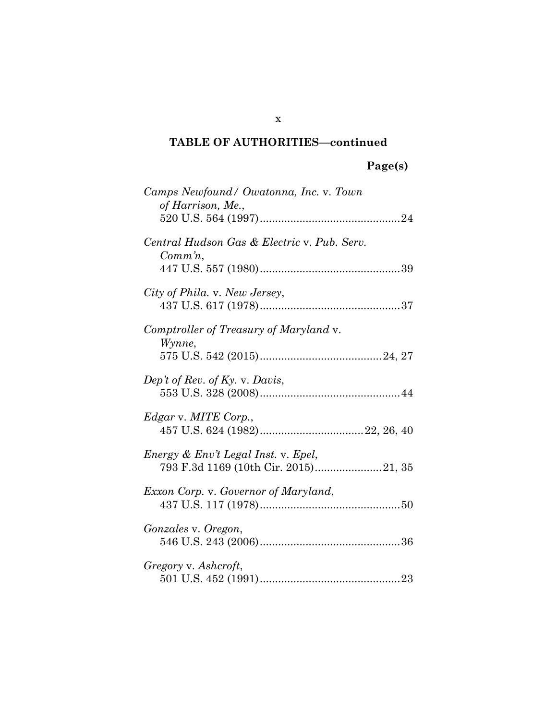| Camps Newfound/ Owatonna, Inc. v. Town<br>of Harrison, Me.,                 |  |
|-----------------------------------------------------------------------------|--|
| Central Hudson Gas & Electric v. Pub. Serv.<br>$Comm\, n$ ,                 |  |
| City of Phila. v. New Jersey,                                               |  |
| Comptroller of Treasury of Maryland v.<br>Wynne,                            |  |
| Dep't of Rev. of Ky. v. Davis,                                              |  |
| Edgar v. MITE Corp.,                                                        |  |
| Energy & Env't Legal Inst. v. Epel,<br>793 F.3d 1169 (10th Cir. 2015)21, 35 |  |
| Exxon Corp. v. Governor of Maryland,                                        |  |
| Gonzales v. Oregon,                                                         |  |
| Gregory v. Ashcroft,                                                        |  |

x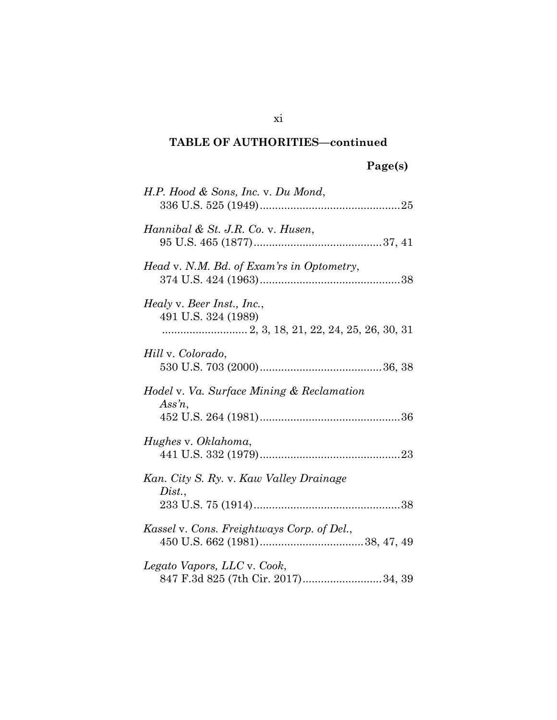# **Page(s)**

| H.P. Hood & Sons, Inc. v. Du Mond,                                |
|-------------------------------------------------------------------|
| Hannibal & St. J.R. Co. v. Husen,                                 |
| Head v. N.M. Bd. of Exam'rs in Optometry,                         |
| Healy v. Beer Inst., Inc.,<br>491 U.S. 324 (1989)                 |
| Hill v. Colorado,                                                 |
| Hodel v. Va. Surface Mining & Reclamation<br>Ass'n,               |
| Hughes v. Oklahoma,                                               |
| Kan. City S. Ry. v. Kaw Valley Drainage<br>Dist.,                 |
| Kassel v. Cons. Freightways Corp. of Del.,                        |
| Legato Vapors, LLC v. Cook,<br>847 F.3d 825 (7th Cir. 2017)34, 39 |

xi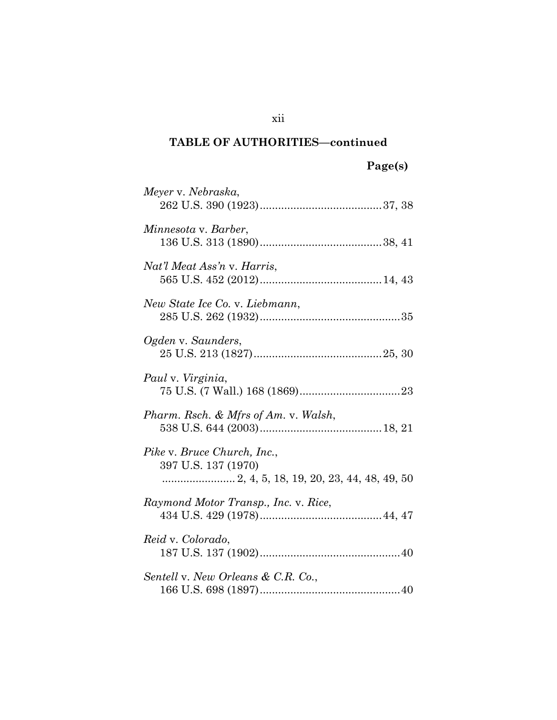| Meyer v. Nebraska,                                 |
|----------------------------------------------------|
| Minnesota v. Barber,                               |
| Nat'l Meat Ass'n v. Harris,                        |
| New State Ice Co. v. Liebmann,                     |
| Ogden v. Saunders,                                 |
| Paul v. Virginia,                                  |
| Pharm. Rsch. & Mfrs of Am. v. Walsh,               |
| Pike v. Bruce Church, Inc.,<br>397 U.S. 137 (1970) |
| Raymond Motor Transp., Inc. v. Rice,               |
| Reid v. Colorado,                                  |
| Sentell v. New Orleans & C.R. Co.,                 |

xii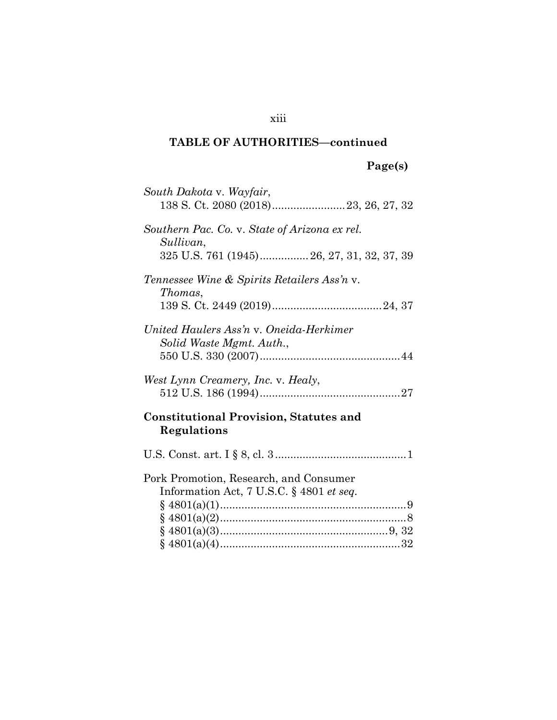| South Dakota v. Wayfair,                                            |
|---------------------------------------------------------------------|
| Southern Pac. Co. v. State of Arizona ex rel.<br>Sullivan,          |
| 325 U.S. 761 (1945) 26, 27, 31, 32, 37, 39                          |
| <i>Tennessee Wine &amp; Spirits Retailers Ass'n v.</i><br>Thomas,   |
|                                                                     |
| United Haulers Ass'n v. Oneida-Herkimer<br>Solid Waste Mgmt. Auth., |
|                                                                     |
| West Lynn Creamery, Inc. v. Healy,                                  |
| <b>Constitutional Provision, Statutes and</b><br>Regulations        |
|                                                                     |
| Pork Promotion, Research, and Consumer                              |
| Information Act, 7 U.S.C. § 4801 et seq.                            |
|                                                                     |
|                                                                     |
|                                                                     |
|                                                                     |

xiii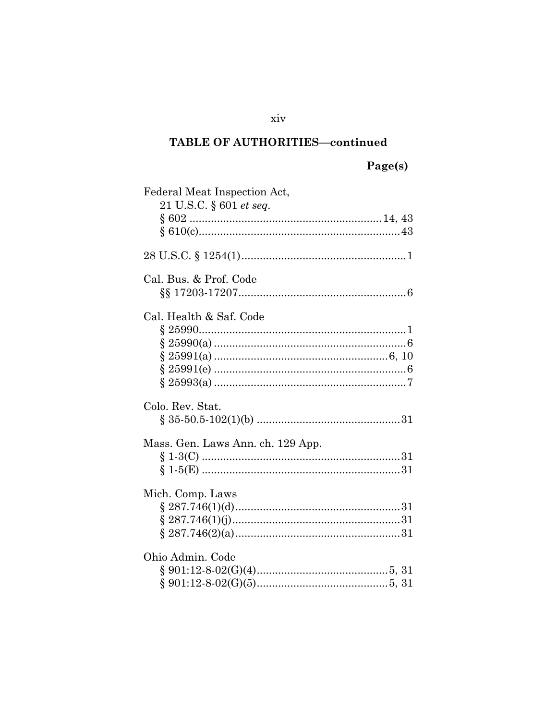# Page(s)

| Federal Meat Inspection Act,<br>21 U.S.C. § 601 et seq. |  |
|---------------------------------------------------------|--|
|                                                         |  |
|                                                         |  |
| Cal. Bus. & Prof. Code                                  |  |
|                                                         |  |
| Cal. Health & Saf. Code                                 |  |
|                                                         |  |
|                                                         |  |
|                                                         |  |
|                                                         |  |
|                                                         |  |
| Colo. Rev. Stat.                                        |  |
|                                                         |  |
|                                                         |  |
| Mass. Gen. Laws Ann. ch. 129 App.                       |  |
|                                                         |  |
|                                                         |  |
| Mich. Comp. Laws                                        |  |
|                                                         |  |
|                                                         |  |
|                                                         |  |
| Ohio Admin. Code                                        |  |
|                                                         |  |
|                                                         |  |
|                                                         |  |

xiv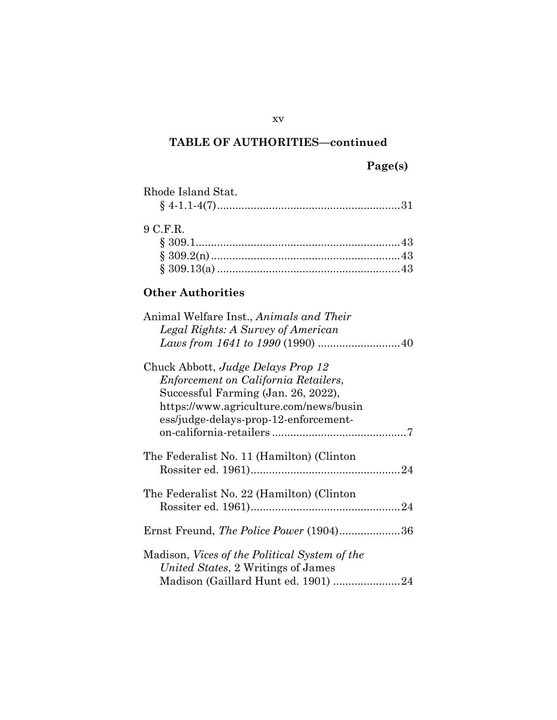## **Page(s)**

| Rhode Island Stat. |  |
|--------------------|--|
|                    |  |

## 9 C.F.R.

## **Other Authorities**

| Animal Welfare Inst., Animals and Their              |
|------------------------------------------------------|
| Legal Rights: A Survey of American                   |
|                                                      |
| Chuck Abbott, Judge Delays Prop 12                   |
| Enforcement on California Retailers,                 |
| Successful Farming (Jan. 26, 2022),                  |
| https://www.agriculture.com/news/busin               |
| ess/judge-delays-prop-12-enforcement-                |
|                                                      |
| The Federalist No. 11 (Hamilton) (Clinton)           |
| The Federalist No. 22 (Hamilton) (Clinton)           |
|                                                      |
| Ernst Freund, The Police Power (1904)36              |
|                                                      |
| Madison, <i>Vices of the Political System of the</i> |
| United States, 2 Writings of James                   |
| Madison (Gaillard Hunt ed. 1901) 24                  |

xv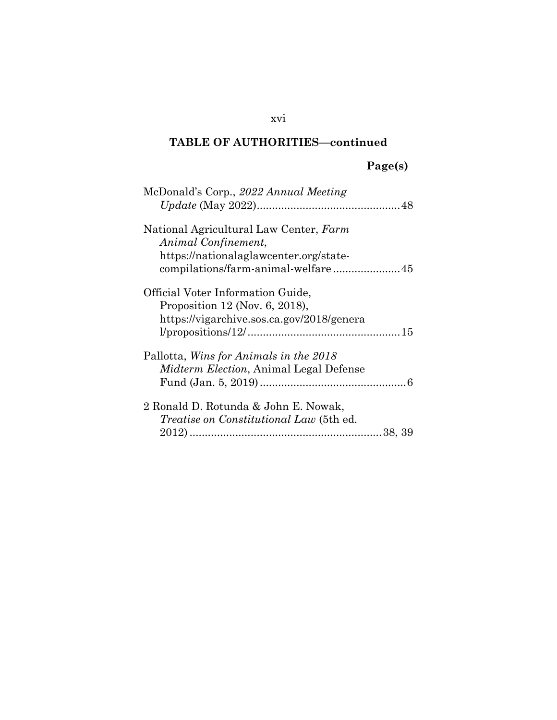# **Page(s)**

| McDonald's Corp., 2022 Annual Meeting          |
|------------------------------------------------|
|                                                |
| National Agricultural Law Center, Farm         |
| Animal Confinement,                            |
| https://nationalaglawcenter.org/state-         |
|                                                |
| Official Voter Information Guide,              |
| Proposition 12 (Nov. 6, 2018),                 |
| https://vigarchive.sos.ca.gov/2018/genera      |
|                                                |
| Pallotta, Wins for Animals in the 2018         |
| <i>Midterm Election, Animal Legal Defense</i>  |
|                                                |
| 2 Ronald D. Rotunda & John E. Nowak,           |
| <i>Treatise on Constitutional Law</i> (5th ed. |
|                                                |
|                                                |

## xvi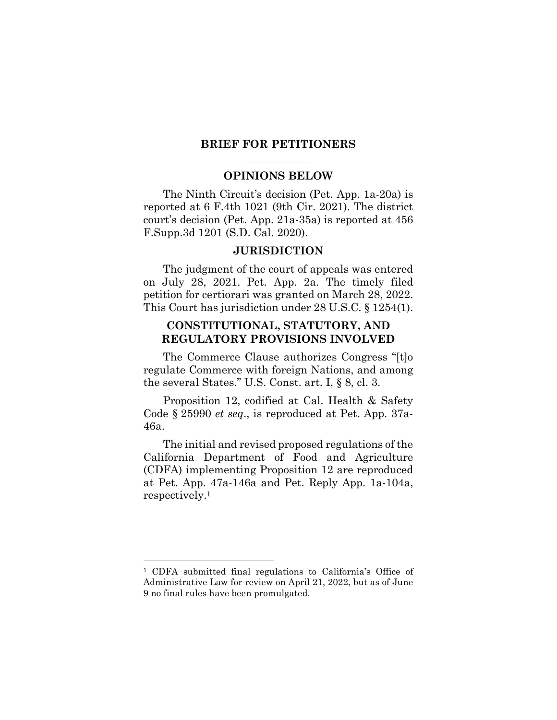#### **BRIEF FOR PETITIONERS**

#### **OPINIONS BELOW**

The Ninth Circuit's decision (Pet. App. 1a-20a) is reported at 6 F.4th 1021 (9th Cir. 2021). The district court's decision (Pet. App. 21a-35a) is reported at 456 F.Supp.3d 1201 (S.D. Cal. 2020).

#### <span id="page-17-0"></span>**JURISDICTION**

The judgment of the court of appeals was entered on July 28, 2021. Pet. App. 2a. The timely filed petition for certiorari was granted on March 28, 2022. This Court has jurisdiction under 28 U.S.C. § 1254(1).

### <span id="page-17-1"></span>**CONSTITUTIONAL, STATUTORY, AND REGULATORY PROVISIONS INVOLVED**

The Commerce Clause authorizes Congress "[t]o regulate Commerce with foreign Nations, and among the several States." U.S. Const. art. I, § 8, cl. 3.

Proposition 12, codified at Cal. Health & Safety Code § 25990 *et seq*., is reproduced at Pet. App. 37a-46a.

The initial and revised proposed regulations of the California Department of Food and Agriculture (CDFA) implementing Proposition 12 are reproduced at Pet. App. 47a-146a and Pet. Reply App. 1a-104a, respectively.<sup>1</sup>

l

<sup>1</sup> CDFA submitted final regulations to California's Office of Administrative Law for review on April 21, 2022, but as of June 9 no final rules have been promulgated.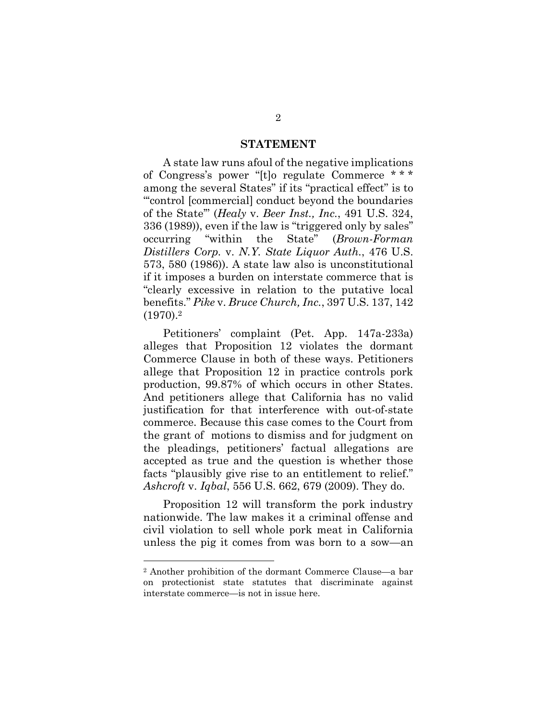#### <span id="page-18-2"></span><span id="page-18-1"></span>**STATEMENT**

A state law runs afoul of the negative implications of Congress's power "[t]o regulate Commerce \* \* \* among the several States" if its "practical effect" is to "'control [commercial] conduct beyond the boundaries of the State'" (*Healy* v. *Beer Inst., Inc.*, 491 U.S. 324, 336 (1989)), even if the law is "triggered only by sales" occurring "within the State" (*Brown-Forman Distillers Corp.* v. *N.Y. State Liquor Auth.*, 476 U.S. 573, 580 (1986)). A state law also is unconstitutional if it imposes a burden on interstate commerce that is "clearly excessive in relation to the putative local benefits." *Pike* v. *Bruce Church, Inc.*, 397 U.S. 137, 142 (1970).<sup>2</sup>

<span id="page-18-3"></span>Petitioners' complaint (Pet. App. 147a-233a) alleges that Proposition 12 violates the dormant Commerce Clause in both of these ways. Petitioners allege that Proposition 12 in practice controls pork production, 99.87% of which occurs in other States. And petitioners allege that California has no valid justification for that interference with out-of-state commerce. Because this case comes to the Court from the grant of motions to dismiss and for judgment on the pleadings, petitioners' factual allegations are accepted as true and the question is whether those facts "plausibly give rise to an entitlement to relief." *Ashcroft* v. *Iqbal*, 556 U.S. 662, 679 (2009). They do.

<span id="page-18-0"></span>Proposition 12 will transform the pork industry nationwide. The law makes it a criminal offense and civil violation to sell whole pork meat in California unless the pig it comes from was born to a sow—an

l

<sup>2</sup> Another prohibition of the dormant Commerce Clause—a bar on protectionist state statutes that discriminate against interstate commerce—is not in issue here.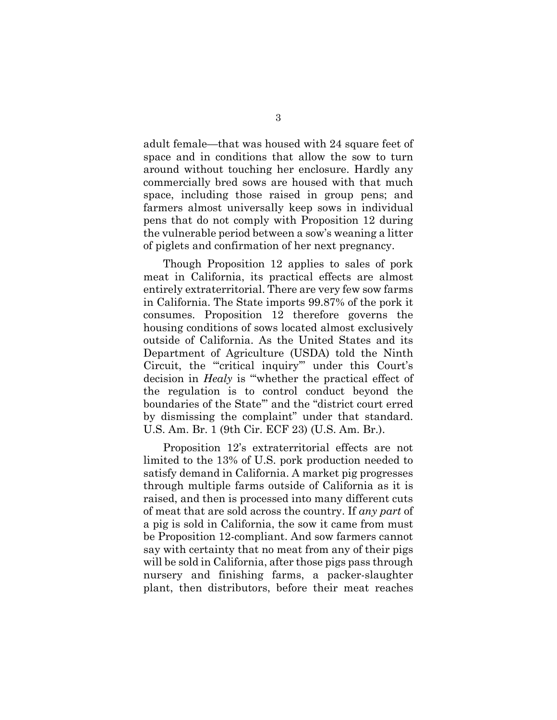adult female—that was housed with 24 square feet of space and in conditions that allow the sow to turn around without touching her enclosure. Hardly any commercially bred sows are housed with that much space, including those raised in group pens; and farmers almost universally keep sows in individual pens that do not comply with Proposition 12 during the vulnerable period between a sow's weaning a litter of piglets and confirmation of her next pregnancy.

Though Proposition 12 applies to sales of pork meat in California, its practical effects are almost entirely extraterritorial. There are very few sow farms in California. The State imports 99.87% of the pork it consumes. Proposition 12 therefore governs the housing conditions of sows located almost exclusively outside of California. As the United States and its Department of Agriculture (USDA) told the Ninth Circuit, the "critical inquiry" under this Court's decision in *Healy* is "'whether the practical effect of the regulation is to control conduct beyond the boundaries of the State'" and the "district court erred by dismissing the complaint" under that standard. U.S. Am. Br. 1 (9th Cir. ECF 23) (U.S. Am. Br.).

<span id="page-19-0"></span>Proposition 12's extraterritorial effects are not limited to the 13% of U.S. pork production needed to satisfy demand in California. A market pig progresses through multiple farms outside of California as it is raised, and then is processed into many different cuts of meat that are sold across the country. If *any part* of a pig is sold in California, the sow it came from must be Proposition 12-compliant. And sow farmers cannot say with certainty that no meat from any of their pigs will be sold in California, after those pigs pass through nursery and finishing farms, a packer-slaughter plant, then distributors, before their meat reaches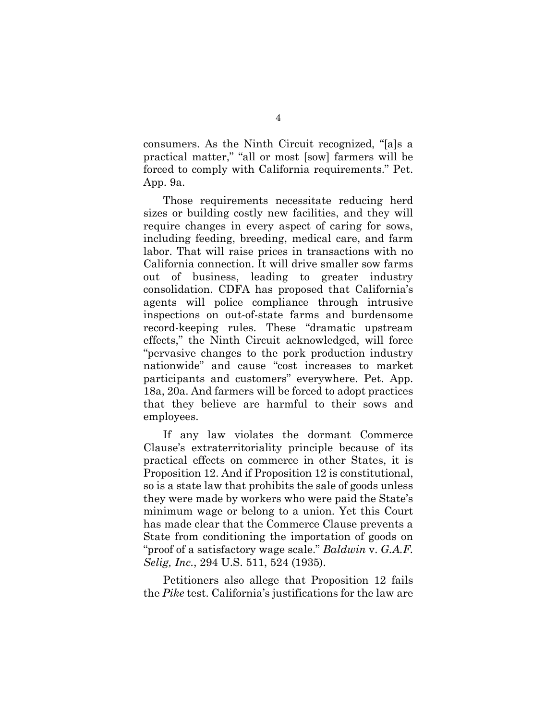consumers. As the Ninth Circuit recognized, "[a]s a practical matter," "all or most [sow] farmers will be forced to comply with California requirements." Pet. App. 9a.

Those requirements necessitate reducing herd sizes or building costly new facilities, and they will require changes in every aspect of caring for sows, including feeding, breeding, medical care, and farm labor. That will raise prices in transactions with no California connection. It will drive smaller sow farms out of business, leading to greater industry consolidation. CDFA has proposed that California's agents will police compliance through intrusive inspections on out-of-state farms and burdensome record-keeping rules. These "dramatic upstream effects," the Ninth Circuit acknowledged, will force "pervasive changes to the pork production industry nationwide" and cause "cost increases to market participants and customers" everywhere. Pet. App. 18a, 20a. And farmers will be forced to adopt practices that they believe are harmful to their sows and employees.

If any law violates the dormant Commerce Clause's extraterritoriality principle because of its practical effects on commerce in other States, it is Proposition 12. And if Proposition 12 is constitutional, so is a state law that prohibits the sale of goods unless they were made by workers who were paid the State's minimum wage or belong to a union. Yet this Court has made clear that the Commerce Clause prevents a State from conditioning the importation of goods on "proof of a satisfactory wage scale." *Baldwin* v. *G.A.F. Selig, Inc.*, 294 U.S. 511, 524 (1935).

<span id="page-20-1"></span><span id="page-20-0"></span>Petitioners also allege that Proposition 12 fails the *Pike* test. California's justifications for the law are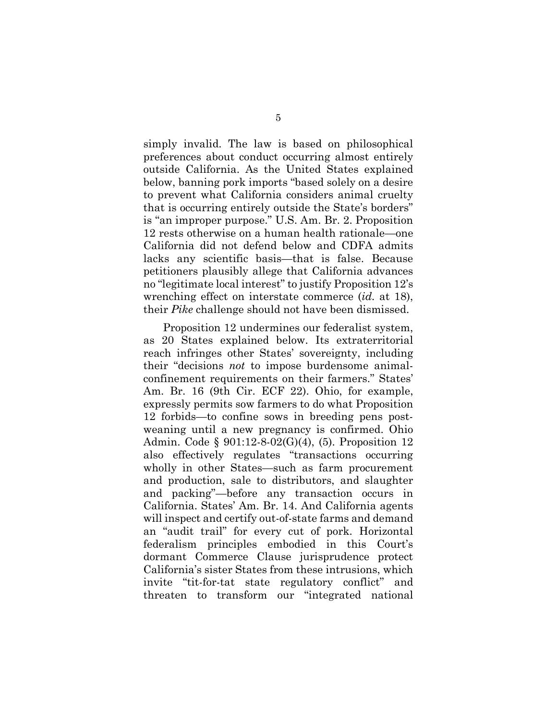simply invalid. The law is based on philosophical preferences about conduct occurring almost entirely outside California. As the United States explained below, banning pork imports "based solely on a desire to prevent what California considers animal cruelty that is occurring entirely outside the State's borders" is "an improper purpose." U.S. Am. Br. 2. Proposition 12 rests otherwise on a human health rationale—one California did not defend below and CDFA admits lacks any scientific basis—that is false. Because petitioners plausibly allege that California advances no "legitimate local interest" to justify Proposition 12's wrenching effect on interstate commerce (*id.* at 18), their *Pike* challenge should not have been dismissed.

<span id="page-21-2"></span><span id="page-21-1"></span><span id="page-21-0"></span>Proposition 12 undermines our federalist system, as 20 States explained below. Its extraterritorial reach infringes other States' sovereignty, including their "decisions *not* to impose burdensome animalconfinement requirements on their farmers." States' Am. Br. 16 (9th Cir. ECF 22). Ohio, for example, expressly permits sow farmers to do what Proposition 12 forbids—to confine sows in breeding pens postweaning until a new pregnancy is confirmed. Ohio Admin. Code § 901:12-8-02(G)(4), (5). Proposition 12 also effectively regulates "transactions occurring wholly in other States—such as farm procurement and production, sale to distributors, and slaughter and packing"—before any transaction occurs in California. States' Am. Br. 14. And California agents will inspect and certify out-of-state farms and demand an "audit trail" for every cut of pork. Horizontal federalism principles embodied in this Court's dormant Commerce Clause jurisprudence protect California's sister States from these intrusions, which invite "tit-for-tat state regulatory conflict" and threaten to transform our "integrated national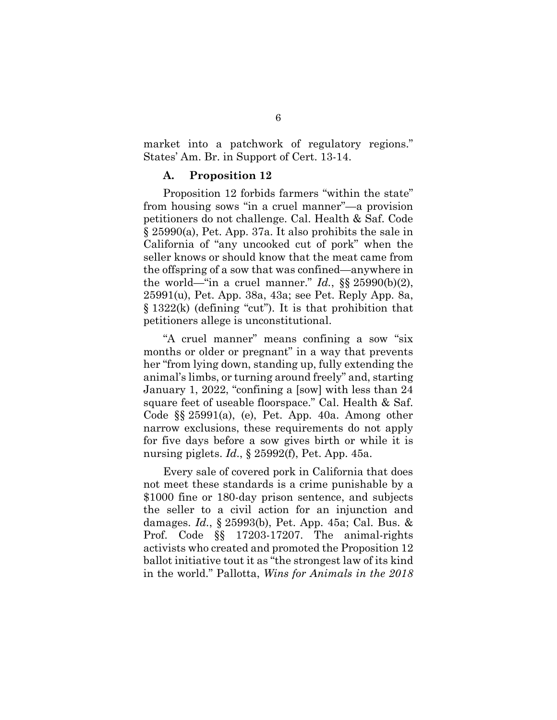market into a patchwork of regulatory regions." States' Am. Br. in Support of Cert. 13-14.

#### <span id="page-22-1"></span>**A. Proposition 12**

Proposition 12 forbids farmers "within the state" from housing sows "in a cruel manner"—a provision petitioners do not challenge. Cal. Health & Saf. Code § 25990(a), Pet. App. 37a. It also prohibits the sale in California of "any uncooked cut of pork" when the seller knows or should know that the meat came from the offspring of a sow that was confined—anywhere in the world—"in a cruel manner."  $Id.$ ,  $\S$ § 25990(b)(2), 25991(u), Pet. App. 38a, 43a; see Pet. Reply App. 8a, § 1322(k) (defining "cut"). It is that prohibition that petitioners allege is unconstitutional.

<span id="page-22-2"></span>"A cruel manner" means confining a sow "six months or older or pregnant" in a way that prevents her "from lying down, standing up, fully extending the animal's limbs, or turning around freely" and, starting January 1, 2022, "confining a [sow] with less than 24 square feet of useable floorspace." Cal. Health & Saf. Code §§ 25991(a), (e), Pet. App. 40a. Among other narrow exclusions, these requirements do not apply for five days before a sow gives birth or while it is nursing piglets. *Id*., § 25992(f), Pet. App. 45a.

<span id="page-22-4"></span><span id="page-22-3"></span><span id="page-22-0"></span>Every sale of covered pork in California that does not meet these standards is a crime punishable by a \$1000 fine or 180-day prison sentence, and subjects the seller to a civil action for an injunction and damages. *Id.*, § 25993(b), Pet. App. 45a; Cal. Bus. & Prof. Code §§ 17203-17207. The animal-rights activists who created and promoted the Proposition 12 ballot initiative tout it as "the strongest law of its kind in the world." Pallotta, *Wins for Animals in the 2018*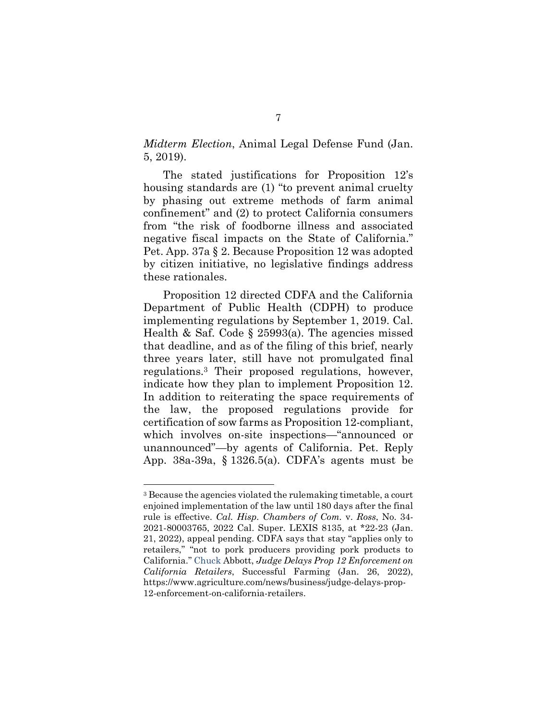*Midterm Election*, Animal Legal Defense Fund (Jan. 5, 2019).

The stated justifications for Proposition 12's housing standards are (1) "to prevent animal cruelty by phasing out extreme methods of farm animal confinement" and (2) to protect California consumers from "the risk of foodborne illness and associated negative fiscal impacts on the State of California." Pet. App. 37a § 2. Because Proposition 12 was adopted by citizen initiative, no legislative findings address these rationales.

<span id="page-23-1"></span>Proposition 12 directed CDFA and the California Department of Public Health (CDPH) to produce implementing regulations by September 1, 2019. Cal. Health & Saf. Code § 25993(a). The agencies missed that deadline, and as of the filing of this brief, nearly three years later, still have not promulgated final regulations.3 Their proposed regulations, however, indicate how they plan to implement Proposition 12. In addition to reiterating the space requirements of the law, the proposed regulations provide for certification of sow farms as Proposition 12-compliant, which involves on-site inspections—"announced or unannounced"—by agents of California. Pet. Reply App. 38a-39a, § 1326.5(a). CDFA's agents must be

l

<span id="page-23-2"></span><span id="page-23-0"></span><sup>3</sup> Because the agencies violated the rulemaking timetable, a court enjoined implementation of the law until 180 days after the final rule is effective. *Cal. Hisp. Chambers of Com.* v. *Ross*, No. 34- 2021-80003765, 2022 Cal. Super. LEXIS 8135, at \*22-23 (Jan. 21, 2022), appeal pending. CDFA says that stay "applies only to retailers," "not to pork producers providing pork products to California." Chuck Abbott, *Judge Delays Prop 12 Enforcement on California Retailers*, Successful Farming (Jan. 26, 2022), [https://www.agriculture.com/news/business/judge-delays-prop-](https://www.agriculture.com/news/business/judge-delays-prop-12-enforcement-on-california-retailers)[12-enforcement-on-california-retailers.](https://www.agriculture.com/news/business/judge-delays-prop-12-enforcement-on-california-retailers)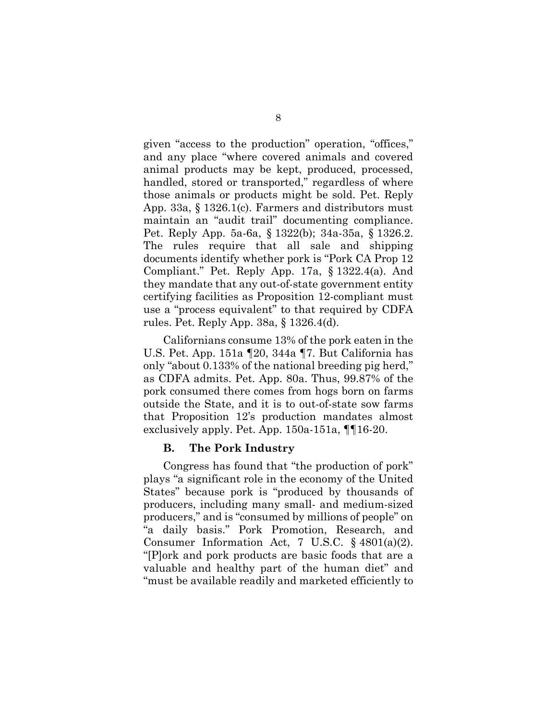given "access to the production" operation, "offices," and any place "where covered animals and covered animal products may be kept, produced, processed, handled, stored or transported," regardless of where those animals or products might be sold. Pet. Reply App. 33a, § 1326.1(c). Farmers and distributors must maintain an "audit trail" documenting compliance. Pet. Reply App. 5a-6a, § 1322(b); 34a-35a, § 1326.2. The rules require that all sale and shipping documents identify whether pork is "Pork CA Prop 12 Compliant." Pet. Reply App. 17a, § 1322.4(a). And they mandate that any out-of-state government entity certifying facilities as Proposition 12-compliant must use a "process equivalent" to that required by CDFA rules. Pet. Reply App. 38a, § 1326.4(d).

Californians consume 13% of the pork eaten in the U.S. Pet. App. 151a ¶20, 344a ¶7. But California has only "about 0.133% of the national breeding pig herd," as CDFA admits. Pet. App. 80a. Thus, 99.87% of the pork consumed there comes from hogs born on farms outside the State, and it is to out-of-state sow farms that Proposition 12's production mandates almost exclusively apply. Pet. App. 150a-151a, ¶¶16-20.

#### **B. The Pork Industry**

Congress has found that "the production of pork" plays "a significant role in the economy of the United States" because pork is "produced by thousands of producers, including many small- and medium-sized producers," and is "consumed by millions of people" on "a daily basis." Pork Promotion, Research, and Consumer Information Act, 7 U.S.C. § 4801(a)(2). "[P]ork and pork products are basic foods that are a valuable and healthy part of the human diet" and "must be available readily and marketed efficiently to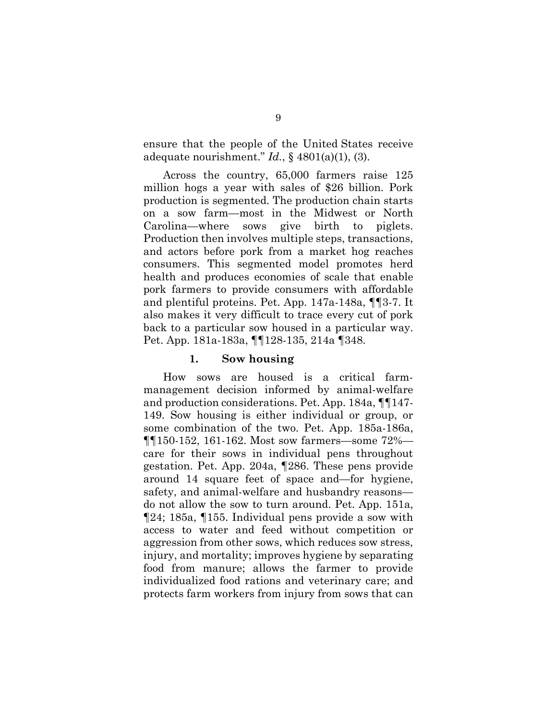ensure that the people of the United States receive adequate nourishment." *Id.*, § 4801(a)(1), (3).

Across the country, 65,000 farmers raise 125 million hogs a year with sales of \$26 billion. Pork production is segmented. The production chain starts on a sow farm—most in the Midwest or North Carolina—where sows give birth to piglets. Production then involves multiple steps, transactions, and actors before pork from a market hog reaches consumers. This segmented model promotes herd health and produces economies of scale that enable pork farmers to provide consumers with affordable and plentiful proteins. Pet. App. 147a-148a, ¶¶3-7. It also makes it very difficult to trace every cut of pork back to a particular sow housed in a particular way. Pet. App. 181a-183a, ¶¶128-135, 214a ¶348.

#### **1. Sow housing**

How sows are housed is a critical farmmanagement decision informed by animal-welfare and production considerations. Pet. App. 184a, ¶¶147- 149. Sow housing is either individual or group, or some combination of the two. Pet. App. 185a-186a, ¶¶150-152, 161-162. Most sow farmers—some 72% care for their sows in individual pens throughout gestation. Pet. App. 204a, ¶286. These pens provide around 14 square feet of space and—for hygiene, safety, and animal-welfare and husbandry reasons do not allow the sow to turn around. Pet. App. 151a, ¶24; 185a, ¶155. Individual pens provide a sow with access to water and feed without competition or aggression from other sows, which reduces sow stress, injury, and mortality; improves hygiene by separating food from manure; allows the farmer to provide individualized food rations and veterinary care; and protects farm workers from injury from sows that can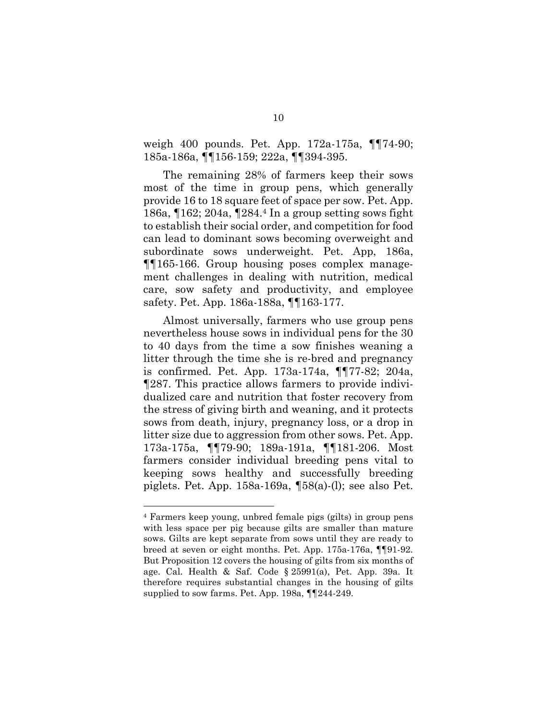weigh 400 pounds. Pet. App. 172a-175a, ¶¶74-90; 185a-186a, ¶¶156-159; 222a, ¶¶394-395.

The remaining 28% of farmers keep their sows most of the time in group pens, which generally provide 16 to 18 square feet of space per sow. Pet. App. 186a, ¶162; 204a, ¶284.4 In a group setting sows fight to establish their social order, and competition for food can lead to dominant sows becoming overweight and subordinate sows underweight. Pet. App, 186a, ¶¶165-166. Group housing poses complex management challenges in dealing with nutrition, medical care, sow safety and productivity, and employee safety. Pet. App. 186a-188a, ¶¶163-177.

Almost universally, farmers who use group pens nevertheless house sows in individual pens for the 30 to 40 days from the time a sow finishes weaning a litter through the time she is re-bred and pregnancy is confirmed. Pet. App. 173a-174a, ¶¶77-82; 204a, ¶287. This practice allows farmers to provide individualized care and nutrition that foster recovery from the stress of giving birth and weaning, and it protects sows from death, injury, pregnancy loss, or a drop in litter size due to aggression from other sows. Pet. App. 173a-175a, ¶¶79-90; 189a-191a, ¶¶181-206. Most farmers consider individual breeding pens vital to keeping sows healthy and successfully breeding piglets. Pet. App. 158a-169a, ¶58(a)-(l); see also Pet.

l

<span id="page-26-0"></span><sup>4</sup> Farmers keep young, unbred female pigs (gilts) in group pens with less space per pig because gilts are smaller than mature sows. Gilts are kept separate from sows until they are ready to breed at seven or eight months. Pet. App. 175a-176a, ¶¶91-92. But Proposition 12 covers the housing of gilts from six months of age. Cal. Health & Saf. Code § 25991(a), Pet. App. 39a. It therefore requires substantial changes in the housing of gilts supplied to sow farms. Pet. App. 198a, ¶¶244-249.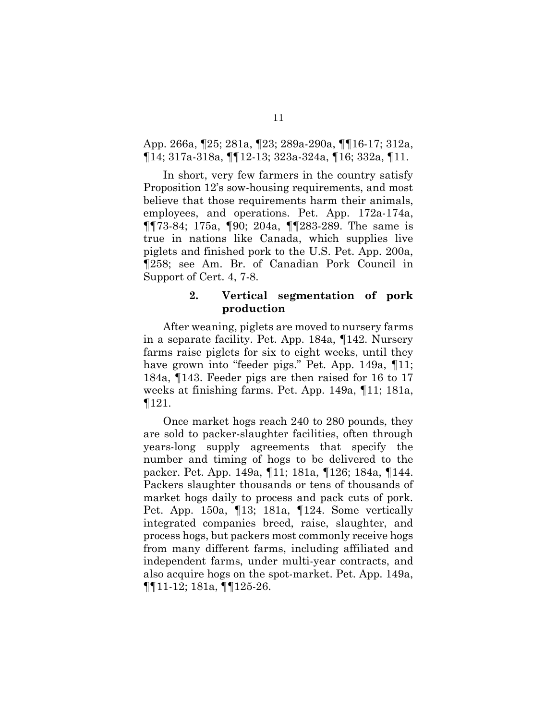### App. 266a, ¶25; 281a, ¶23; 289a-290a, ¶¶16-17; 312a, ¶14; 317a-318a, ¶¶12-13; 323a-324a, ¶16; 332a, ¶11.

In short, very few farmers in the country satisfy Proposition 12's sow-housing requirements, and most believe that those requirements harm their animals, employees, and operations. Pet. App. 172a-174a, ¶¶73-84; 175a, ¶90; 204a, ¶¶283-289. The same is true in nations like Canada, which supplies live piglets and finished pork to the U.S. Pet. App. 200a, ¶258; see Am. Br. of Canadian Pork Council in Support of Cert. 4, 7-8.

#### **2. Vertical segmentation of pork production**

After weaning, piglets are moved to nursery farms in a separate facility. Pet. App. 184a, ¶142. Nursery farms raise piglets for six to eight weeks, until they have grown into "feeder pigs." Pet. App. 149a, 11; 184a, ¶143. Feeder pigs are then raised for 16 to 17 weeks at finishing farms. Pet. App. 149a, ¶11; 181a, ¶121.

Once market hogs reach 240 to 280 pounds, they are sold to packer-slaughter facilities, often through years-long supply agreements that specify the number and timing of hogs to be delivered to the packer. Pet. App. 149a, ¶11; 181a, ¶126; 184a, ¶144. Packers slaughter thousands or tens of thousands of market hogs daily to process and pack cuts of pork. Pet. App. 150a, ¶13; 181a, ¶124. Some vertically integrated companies breed, raise, slaughter, and process hogs, but packers most commonly receive hogs from many different farms, including affiliated and independent farms, under multi-year contracts, and also acquire hogs on the spot-market. Pet. App. 149a, ¶¶11-12; 181a, ¶¶125-26.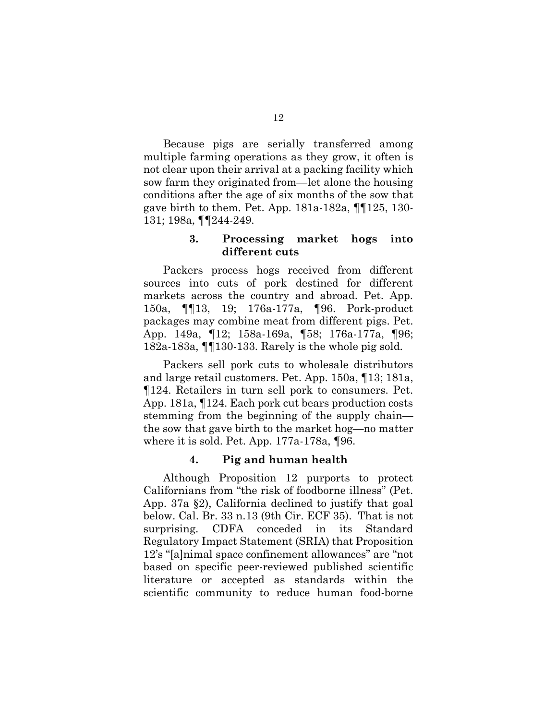Because pigs are serially transferred among multiple farming operations as they grow, it often is not clear upon their arrival at a packing facility which sow farm they originated from—let alone the housing conditions after the age of six months of the sow that gave birth to them. Pet. App. 181a-182a, ¶¶125, 130- 131; 198a, ¶¶244-249.

### **3. Processing market hogs into different cuts**

Packers process hogs received from different sources into cuts of pork destined for different markets across the country and abroad. Pet. App. 150a, ¶¶13, 19; 176a-177a, ¶96. Pork-product packages may combine meat from different pigs. Pet. App. 149a, ¶12; 158a-169a, ¶58; 176a-177a, ¶96; 182a-183a, ¶¶130-133. Rarely is the whole pig sold.

Packers sell pork cuts to wholesale distributors and large retail customers. Pet. App. 150a, ¶13; 181a, ¶124. Retailers in turn sell pork to consumers. Pet. App. 181a, ¶124. Each pork cut bears production costs stemming from the beginning of the supply chain the sow that gave birth to the market hog—no matter where it is sold. Pet. App. 177a-178a, ¶96.

#### **4. Pig and human health**

Although Proposition 12 purports to protect Californians from "the risk of foodborne illness" (Pet. App. 37a §2), California declined to justify that goal below. Cal. Br. 33 n.13 (9th Cir. ECF 35). That is not surprising. CDFA conceded in its Standard Regulatory Impact Statement (SRIA) that Proposition 12's "[a]nimal space confinement allowances" are "not based on specific peer-reviewed published scientific literature or accepted as standards within the scientific community to reduce human food-borne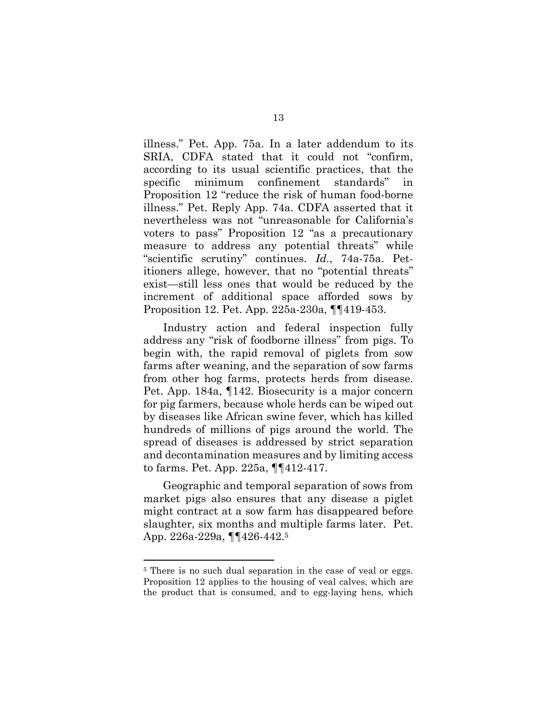illness." Pet. App. 75a. In a later addendum to its SRIA, CDFA stated that it could not "confirm, according to its usual scientific practices, that the specific minimum confinement standards" in Proposition 12 "reduce the risk of human food-borne illness." Pet. Reply App. 74a. CDFA asserted that it nevertheless was not "unreasonable for California's voters to pass" Proposition 12 "as a precautionary measure to address any potential threats" while "scientific scrutiny" continues. *Id.*, 74a-75a. Petitioners allege, however, that no "potential threats" exist—still less ones that would be reduced by the increment of additional space afforded sows by Proposition 12. Pet. App. 225a-230a, ¶¶419-453.

Industry action and federal inspection fully address any "risk of foodborne illness" from pigs. To begin with, the rapid removal of piglets from sow farms after weaning, and the separation of sow farms from other hog farms, protects herds from disease. Pet. App. 184a, ¶142. Biosecurity is a major concern for pig farmers, because whole herds can be wiped out by diseases like African swine fever, which has killed hundreds of millions of pigs around the world. The spread of diseases is addressed by strict separation and decontamination measures and by limiting access to farms. Pet. App. 225a, ¶¶412-417.

Geographic and temporal separation of sows from market pigs also ensures that any disease a piglet might contract at a sow farm has disappeared before slaughter, six months and multiple farms later. Pet. App. 226a-229a, ¶¶426-442.<sup>5</sup>

l

<sup>&</sup>lt;sup>5</sup> There is no such dual separation in the case of veal or eggs. Proposition 12 applies to the housing of veal calves, which are the product that is consumed, and to egg-laying hens, which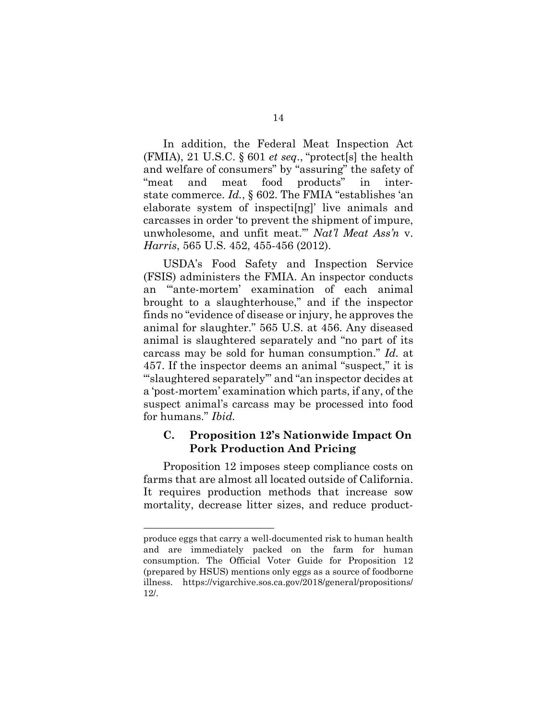<span id="page-30-1"></span>In addition, the Federal Meat Inspection Act (FMIA), 21 U.S.C. § 601 *et seq*., "protect[s] the health and welfare of consumers" by "assuring" the safety of "meat and meat food products" in interstate commerce. *Id.*, § 602. The FMIA "establishes 'an elaborate system of inspecti[ng]' live animals and carcasses in order 'to prevent the shipment of impure, unwholesome, and unfit meat.'" *Nat'l Meat Ass'n* v. *Harris*, 565 U.S. 452, 455-456 (2012).

<span id="page-30-0"></span>USDA's Food Safety and Inspection Service (FSIS) administers the FMIA. An inspector conducts an "'ante-mortem' examination of each animal brought to a slaughterhouse," and if the inspector finds no "evidence of disease or injury, he approves the animal for slaughter." 565 U.S. at 456. Any diseased animal is slaughtered separately and "no part of its carcass may be sold for human consumption." *Id.* at 457. If the inspector deems an animal "suspect," it is "'slaughtered separately'" and "an inspector decides at a 'post-mortem' examination which parts, if any, of the suspect animal's carcass may be processed into food for humans." *Ibid.*

### **C. Proposition 12's Nationwide Impact On Pork Production And Pricing**

Proposition 12 imposes steep compliance costs on farms that are almost all located outside of California. It requires production methods that increase sow mortality, decrease litter sizes, and reduce product-

l

produce eggs that carry a well-documented risk to human health and are immediately packed on the farm for human consumption. The Official Voter Guide for Proposition 12 (prepared by HSUS) mentions only eggs as a source of foodborne illness. https://vigarchive.sos.ca.gov/2018/general/propositions/ 12/.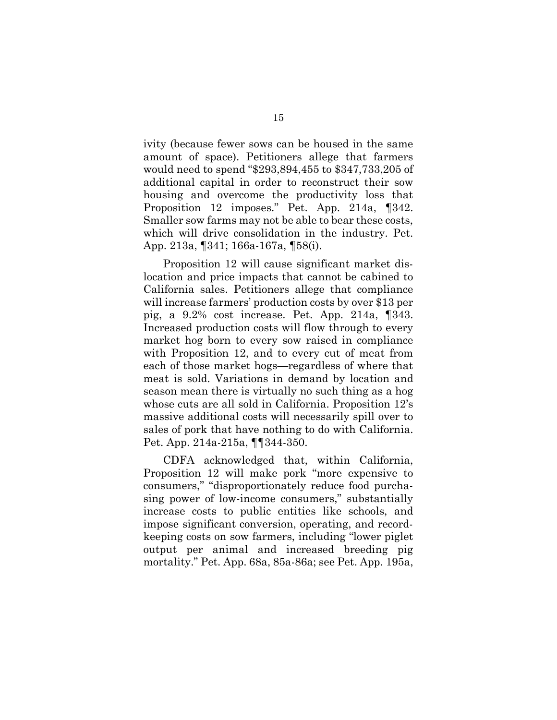ivity (because fewer sows can be housed in the same amount of space). Petitioners allege that farmers would need to spend "\$293,894,455 to \$347,733,205 of additional capital in order to reconstruct their sow housing and overcome the productivity loss that Proposition 12 imposes." Pet. App. 214a, ¶342. Smaller sow farms may not be able to bear these costs, which will drive consolidation in the industry. Pet. App. 213a, ¶341; 166a-167a, ¶58(i).

Proposition 12 will cause significant market dislocation and price impacts that cannot be cabined to California sales. Petitioners allege that compliance will increase farmers' production costs by over \$13 per pig, a 9.2% cost increase. Pet. App. 214a, ¶343. Increased production costs will flow through to every market hog born to every sow raised in compliance with Proposition 12, and to every cut of meat from each of those market hogs—regardless of where that meat is sold. Variations in demand by location and season mean there is virtually no such thing as a hog whose cuts are all sold in California. Proposition 12's massive additional costs will necessarily spill over to sales of pork that have nothing to do with California. Pet. App. 214a-215a, ¶¶344-350.

CDFA acknowledged that, within California, Proposition 12 will make pork "more expensive to consumers," "disproportionately reduce food purchasing power of low-income consumers," substantially increase costs to public entities like schools, and impose significant conversion, operating, and recordkeeping costs on sow farmers, including "lower piglet output per animal and increased breeding pig mortality." Pet. App. 68a, 85a-86a; see Pet. App. 195a,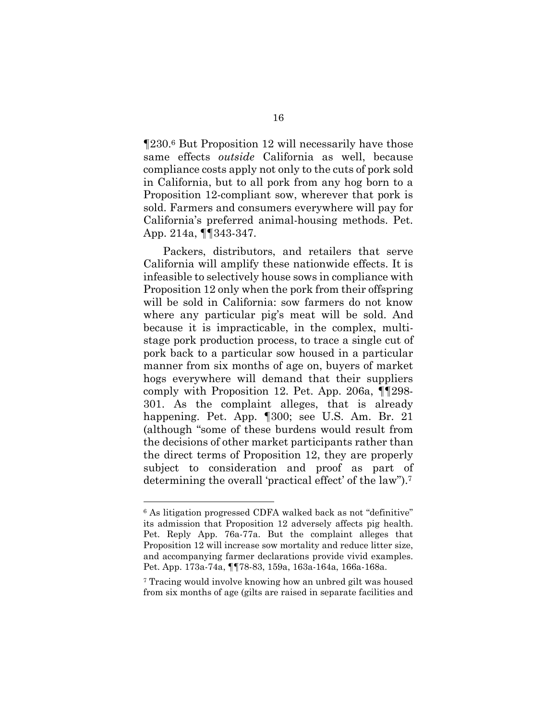¶230.6 But Proposition 12 will necessarily have those same effects *outside* California as well, because compliance costs apply not only to the cuts of pork sold in California, but to all pork from any hog born to a Proposition 12-compliant sow, wherever that pork is sold. Farmers and consumers everywhere will pay for California's preferred animal-housing methods. Pet. App. 214a, ¶¶343-347.

Packers, distributors, and retailers that serve California will amplify these nationwide effects. It is infeasible to selectively house sows in compliance with Proposition 12 only when the pork from their offspring will be sold in California: sow farmers do not know where any particular pig's meat will be sold. And because it is impracticable, in the complex, multistage pork production process, to trace a single cut of pork back to a particular sow housed in a particular manner from six months of age on, buyers of market hogs everywhere will demand that their suppliers comply with Proposition 12. Pet. App. 206a, ¶¶298- 301. As the complaint alleges, that is already happening. Pet. App. ¶300; see U.S. Am. Br. 21 (although "some of these burdens would result from the decisions of other market participants rather than the direct terms of Proposition 12, they are properly subject to consideration and proof as part of determining the overall 'practical effect' of the law").<sup>7</sup>

l

<sup>6</sup> As litigation progressed CDFA walked back as not "definitive" its admission that Proposition 12 adversely affects pig health. Pet. Reply App. 76a-77a. But the complaint alleges that Proposition 12 will increase sow mortality and reduce litter size, and accompanying farmer declarations provide vivid examples. Pet. App. 173a-74a, ¶¶78-83, 159a, 163a-164a, 166a-168a.

<sup>7</sup> Tracing would involve knowing how an unbred gilt was housed from six months of age (gilts are raised in separate facilities and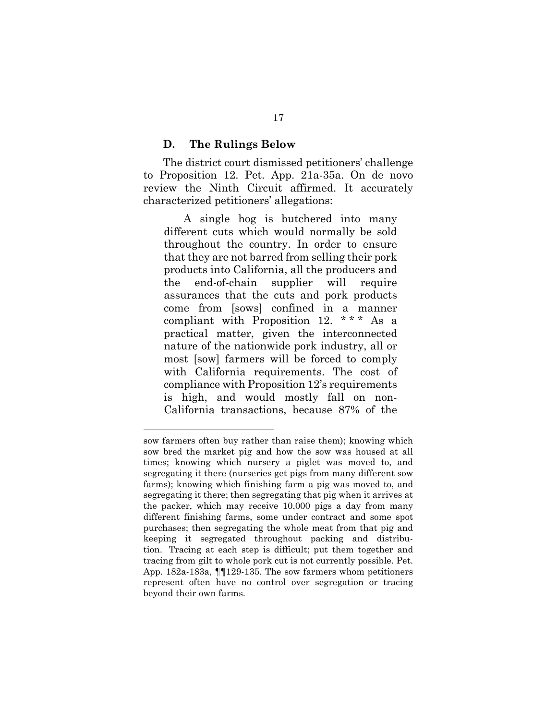#### **D. The Rulings Below**

l

The district court dismissed petitioners' challenge to Proposition 12. Pet. App. 21a-35a. On de novo review the Ninth Circuit affirmed. It accurately characterized petitioners' allegations:

A single hog is butchered into many different cuts which would normally be sold throughout the country. In order to ensure that they are not barred from selling their pork products into California, all the producers and the end-of-chain supplier will require assurances that the cuts and pork products come from [sows] confined in a manner compliant with Proposition 12. \* \* \* As a practical matter, given the interconnected nature of the nationwide pork industry, all or most [sow] farmers will be forced to comply with California requirements. The cost of compliance with Proposition 12's requirements is high, and would mostly fall on non-California transactions, because 87% of the

sow farmers often buy rather than raise them); knowing which sow bred the market pig and how the sow was housed at all times; knowing which nursery a piglet was moved to, and segregating it there (nurseries get pigs from many different sow farms); knowing which finishing farm a pig was moved to, and segregating it there; then segregating that pig when it arrives at the packer, which may receive 10,000 pigs a day from many different finishing farms, some under contract and some spot purchases; then segregating the whole meat from that pig and keeping it segregated throughout packing and distribution. Tracing at each step is difficult; put them together and tracing from gilt to whole pork cut is not currently possible. Pet. App. 182a-183a, ¶¶129-135. The sow farmers whom petitioners represent often have no control over segregation or tracing beyond their own farms.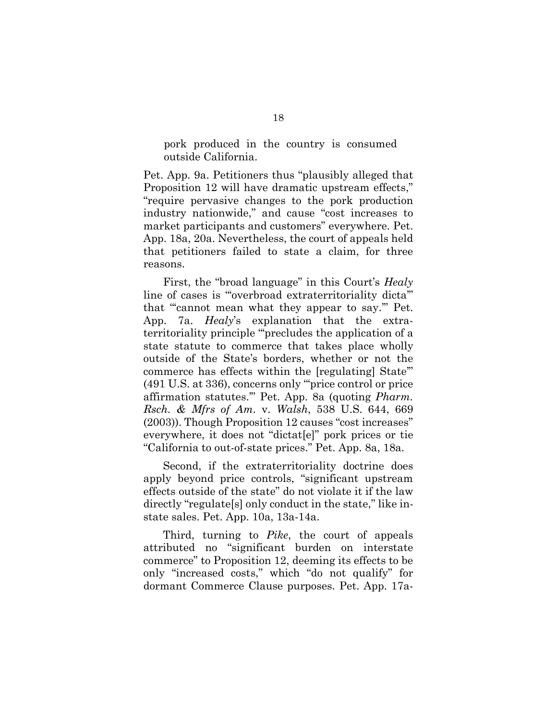pork produced in the country is consumed outside California.

Pet. App. 9a. Petitioners thus "plausibly alleged that Proposition 12 will have dramatic upstream effects," "require pervasive changes to the pork production industry nationwide," and cause "cost increases to market participants and customers" everywhere. Pet. App. 18a, 20a. Nevertheless, the court of appeals held that petitioners failed to state a claim, for three reasons.

<span id="page-34-0"></span>First, the "broad language" in this Court's *Healy* line of cases is "'overbroad extraterritoriality dicta'" that "'cannot mean what they appear to say.'" Pet. App. 7a. *Healy*'s explanation that the extraterritoriality principle "'precludes the application of a state statute to commerce that takes place wholly outside of the State's borders, whether or not the commerce has effects within the [regulating] State'" (491 U.S. at 336), concerns only "'price control or price affirmation statutes.'" Pet. App. 8a (quoting *Pharm. Rsch. & Mfrs of Am.* v. *Walsh*, 538 U.S. 644, 669 (2003)). Though Proposition 12 causes "cost increases" everywhere, it does not "dictat[e]" pork prices or tie "California to out-of-state prices." Pet. App. 8a, 18a.

Second, if the extraterritoriality doctrine does apply beyond price controls, "significant upstream effects outside of the state" do not violate it if the law directly "regulate[s] only conduct in the state," like instate sales. Pet. App. 10a, 13a-14a.

<span id="page-34-1"></span>Third, turning to *Pike*, the court of appeals attributed no "significant burden on interstate commerce" to Proposition 12, deeming its effects to be only "increased costs," which "do not qualify" for dormant Commerce Clause purposes. Pet. App. 17a-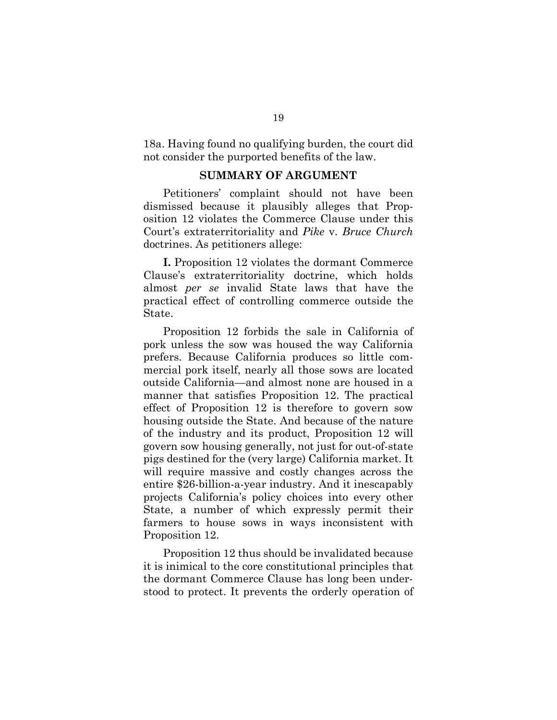18a. Having found no qualifying burden, the court did not consider the purported benefits of the law.

#### <span id="page-35-0"></span>**SUMMARY OF ARGUMENT**

Petitioners' complaint should not have been dismissed because it plausibly alleges that Proposition 12 violates the Commerce Clause under this Court's extraterritoriality and *Pike* v. *Bruce Church* doctrines. As petitioners allege:

**I.** Proposition 12 violates the dormant Commerce Clause's extraterritoriality doctrine, which holds almost *per se* invalid State laws that have the practical effect of controlling commerce outside the State.

Proposition 12 forbids the sale in California of pork unless the sow was housed the way California prefers. Because California produces so little commercial pork itself, nearly all those sows are located outside California—and almost none are housed in a manner that satisfies Proposition 12. The practical effect of Proposition 12 is therefore to govern sow housing outside the State. And because of the nature of the industry and its product, Proposition 12 will govern sow housing generally, not just for out-of-state pigs destined for the (very large) California market. It will require massive and costly changes across the entire \$26-billion-a-year industry. And it inescapably projects California's policy choices into every other State, a number of which expressly permit their farmers to house sows in ways inconsistent with Proposition 12.

Proposition 12 thus should be invalidated because it is inimical to the core constitutional principles that the dormant Commerce Clause has long been understood to protect. It prevents the orderly operation of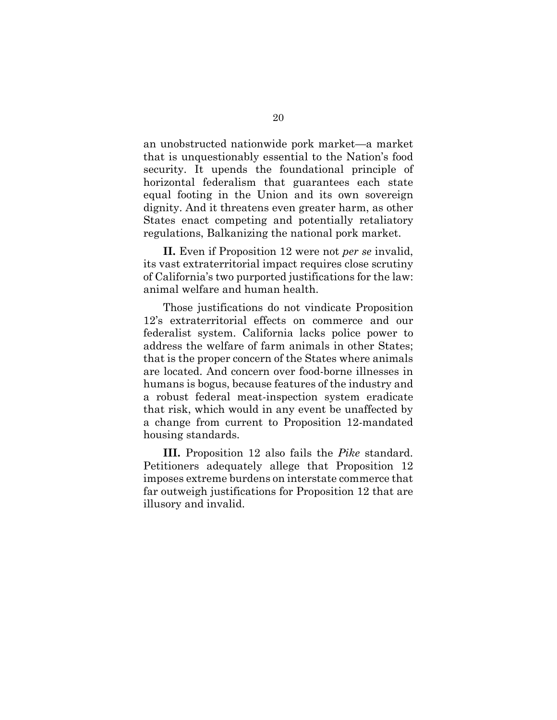an unobstructed nationwide pork market—a market that is unquestionably essential to the Nation's food security. It upends the foundational principle of horizontal federalism that guarantees each state equal footing in the Union and its own sovereign dignity. And it threatens even greater harm, as other States enact competing and potentially retaliatory regulations, Balkanizing the national pork market.

**II.** Even if Proposition 12 were not *per se* invalid, its vast extraterritorial impact requires close scrutiny of California's two purported justifications for the law: animal welfare and human health.

Those justifications do not vindicate Proposition 12's extraterritorial effects on commerce and our federalist system. California lacks police power to address the welfare of farm animals in other States; that is the proper concern of the States where animals are located. And concern over food-borne illnesses in humans is bogus, because features of the industry and a robust federal meat-inspection system eradicate that risk, which would in any event be unaffected by a change from current to Proposition 12-mandated housing standards.

<span id="page-36-0"></span>**III.** Proposition 12 also fails the *Pike* standard. Petitioners adequately allege that Proposition 12 imposes extreme burdens on interstate commerce that far outweigh justifications for Proposition 12 that are illusory and invalid.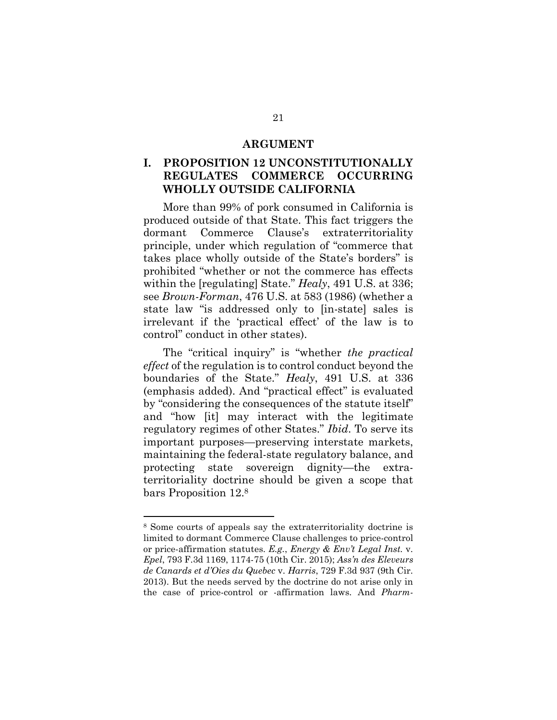#### <span id="page-37-3"></span>**ARGUMENT**

### **I. PROPOSITION 12 UNCONSTITUTIONALLY REGULATES COMMERCE OCCURRING WHOLLY OUTSIDE CALIFORNIA**

More than 99% of pork consumed in California is produced outside of that State. This fact triggers the dormant Commerce Clause's extraterritoriality principle, under which regulation of "commerce that takes place wholly outside of the State's borders" is prohibited "whether or not the commerce has effects within the [regulating] State." *Healy*, 491 U.S. at 336; see *Brown-Forman*, 476 U.S. at 583 (1986) (whether a state law "is addressed only to [in-state] sales is irrelevant if the 'practical effect' of the law is to control" conduct in other states).

<span id="page-37-1"></span>The "critical inquiry" is "whether *the practical effect* of the regulation is to control conduct beyond the boundaries of the State." *Healy*, 491 U.S. at 336 (emphasis added). And "practical effect" is evaluated by "considering the consequences of the statute itself" and "how [it] may interact with the legitimate regulatory regimes of other States." *Ibid*. To serve its important purposes—preserving interstate markets, maintaining the federal-state regulatory balance, and protecting state sovereign dignity—the extraterritoriality doctrine should be given a scope that bars Proposition 12.<sup>8</sup>

l

<span id="page-37-2"></span><span id="page-37-0"></span><sup>8</sup> Some courts of appeals say the extraterritoriality doctrine is limited to dormant Commerce Clause challenges to price-control or price-affirmation statutes. *E.g.*, *Energy & Env't Legal Inst.* v. *Epel*, 793 F.3d 1169, 1174-75 (10th Cir. 2015); *Ass'n des Eleveurs de Canards et d'Oies du Quebec* v. *Harris*, 729 F.3d 937 (9th Cir. 2013). But the needs served by the doctrine do not arise only in the case of price-control or -affirmation laws. And *Pharm-*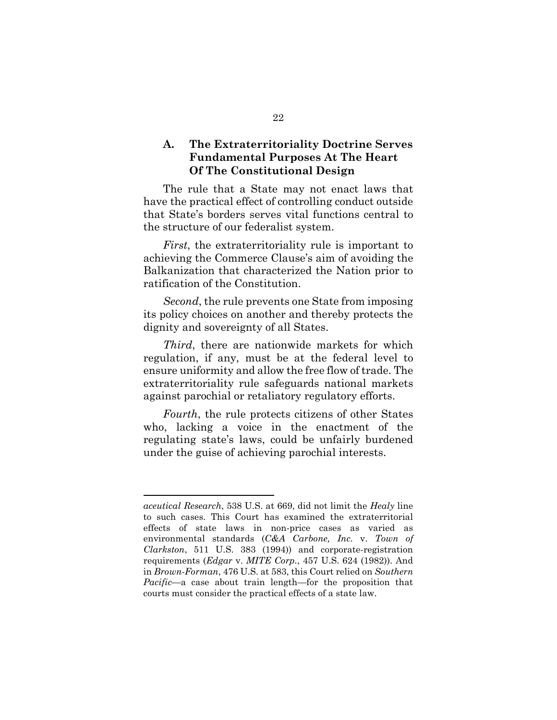### **A. The Extraterritoriality Doctrine Serves Fundamental Purposes At The Heart Of The Constitutional Design**

The rule that a State may not enact laws that have the practical effect of controlling conduct outside that State's borders serves vital functions central to the structure of our federalist system.

*First*, the extraterritoriality rule is important to achieving the Commerce Clause's aim of avoiding the Balkanization that characterized the Nation prior to ratification of the Constitution.

*Second*, the rule prevents one State from imposing its policy choices on another and thereby protects the dignity and sovereignty of all States.

*Third*, there are nationwide markets for which regulation, if any, must be at the federal level to ensure uniformity and allow the free flow of trade. The extraterritoriality rule safeguards national markets against parochial or retaliatory regulatory efforts.

*Fourth*, the rule protects citizens of other States who, lacking a voice in the enactment of the regulating state's laws, could be unfairly burdened under the guise of achieving parochial interests.

<span id="page-38-3"></span>l

<span id="page-38-2"></span><span id="page-38-1"></span><span id="page-38-0"></span>*aceutical Research*, 538 U.S. at 669, did not limit the *Healy* line to such cases. This Court has examined the extraterritorial effects of state laws in non-price cases as varied as environmental standards (*C&A Carbone, Inc.* v. *Town of Clarkston*, 511 U.S. 383 (1994)) and corporate-registration requirements (*Edgar* v. *MITE Corp.*, 457 U.S. 624 (1982)). And in *Brown-Forman*, 476 U.S. at 583, this Court relied on *Southern Pacific*—a case about train length—for the proposition that courts must consider the practical effects of a state law.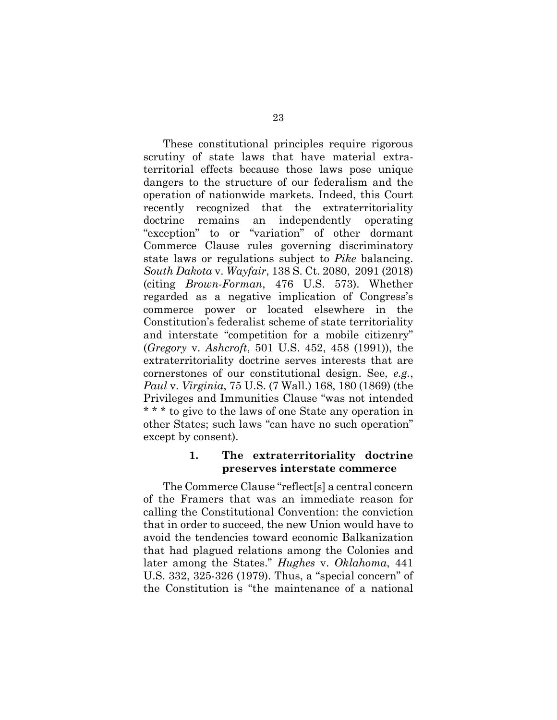<span id="page-39-4"></span><span id="page-39-3"></span>These constitutional principles require rigorous scrutiny of state laws that have material extraterritorial effects because those laws pose unique dangers to the structure of our federalism and the operation of nationwide markets. Indeed, this Court recently recognized that the extraterritoriality doctrine remains an independently operating "exception" to or "variation" of other dormant Commerce Clause rules governing discriminatory state laws or regulations subject to *Pike* balancing. *South Dakota* v. *Wayfair*, 138 S. Ct. 2080, 2091 (2018) (citing *Brown-Forman*, 476 U.S. 573). Whether regarded as a negative implication of Congress's commerce power or located elsewhere in the Constitution's federalist scheme of state territoriality and interstate "competition for a mobile citizenry" (*Gregory* v. *Ashcroft*, 501 U.S. 452, 458 (1991)), the extraterritoriality doctrine serves interests that are cornerstones of our constitutional design. See, *e.g.*, *Paul* v. *Virginia*, 75 U.S. (7 Wall.) 168, 180 (1869) (the Privileges and Immunities Clause "was not intended \* \* \* to give to the laws of one State any operation in other States; such laws "can have no such operation" except by consent).

### <span id="page-39-2"></span><span id="page-39-1"></span><span id="page-39-0"></span>**1. The extraterritoriality doctrine preserves interstate commerce**

The Commerce Clause "reflect[s] a central concern of the Framers that was an immediate reason for calling the Constitutional Convention: the conviction that in order to succeed, the new Union would have to avoid the tendencies toward economic Balkanization that had plagued relations among the Colonies and later among the States." *Hughes* v. *Oklahoma*, 441 U.S. 332, 325-326 (1979). Thus, a "special concern" of the Constitution is "the maintenance of a national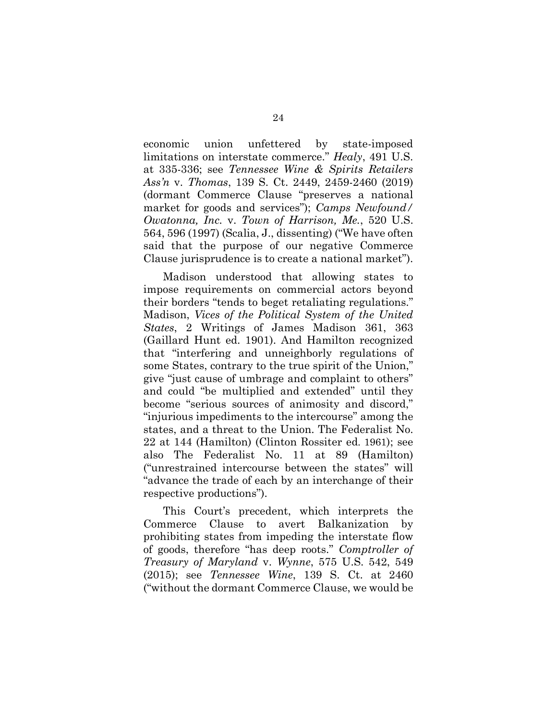<span id="page-40-3"></span><span id="page-40-2"></span><span id="page-40-0"></span>economic union unfettered by state-imposed limitations on interstate commerce." *Healy*, 491 U.S. at 335-336; see *Tennessee Wine & Spirits Retailers Ass'n* v. *Thomas*, 139 S. Ct. 2449, 2459-2460 (2019) (dormant Commerce Clause "preserves a national market for goods and services"); *Camps Newfound/ Owatonna, Inc.* v. *Town of Harrison, Me.*, 520 U.S. 564, 596 (1997) (Scalia, J., dissenting) ("We have often said that the purpose of our negative Commerce Clause jurisprudence is to create a national market").

<span id="page-40-4"></span>Madison understood that allowing states to impose requirements on commercial actors beyond their borders "tends to beget retaliating regulations." Madison, *Vices of the Political System of the United States*, 2 Writings of James Madison 361, 363 (Gaillard Hunt ed. 1901). And Hamilton recognized that "interfering and unneighborly regulations of some States, contrary to the true spirit of the Union," give "just cause of umbrage and complaint to others" and could "be multiplied and extended" until they become "serious sources of animosity and discord," "injurious impediments to the intercourse" among the states, and a threat to the Union. The Federalist No. 22 at 144 (Hamilton) (Clinton Rossiter ed. 1961); see also The Federalist No. 11 at 89 (Hamilton) ("unrestrained intercourse between the states" will "advance the trade of each by an interchange of their respective productions").

<span id="page-40-1"></span>This Court's precedent, which interprets the Commerce Clause to avert Balkanization by prohibiting states from impeding the interstate flow of goods, therefore "has deep roots." *Comptroller of Treasury of Maryland* v. *Wynne*, 575 U.S. 542, 549 (2015); see *Tennessee Wine*, 139 S. Ct. at 2460 ("without the dormant Commerce Clause, we would be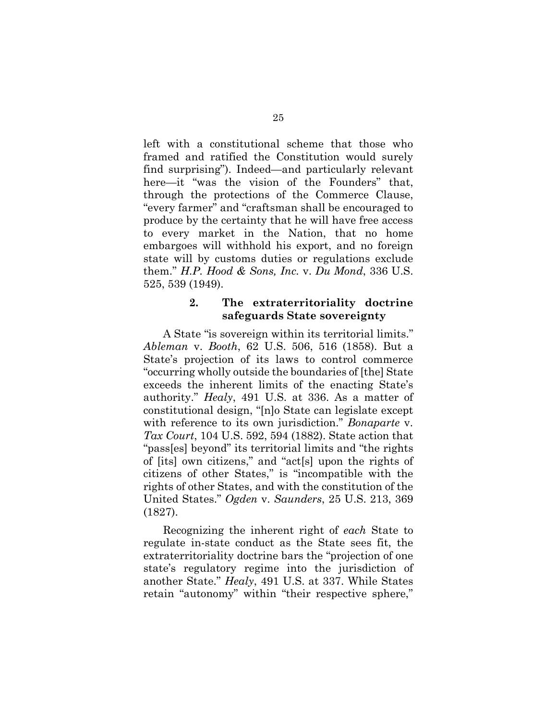left with a constitutional scheme that those who framed and ratified the Constitution would surely find surprising"). Indeed—and particularly relevant here—it "was the vision of the Founders" that, through the protections of the Commerce Clause, "every farmer" and "craftsman shall be encouraged to produce by the certainty that he will have free access to every market in the Nation, that no home embargoes will withhold his export, and no foreign state will by customs duties or regulations exclude them." *H.P. Hood & Sons, Inc.* v. *Du Mond*, 336 U.S. 525, 539 (1949).

### <span id="page-41-2"></span><span id="page-41-1"></span>**2. The extraterritoriality doctrine safeguards State sovereignty**

<span id="page-41-3"></span><span id="page-41-0"></span>A State "is sovereign within its territorial limits." *Ableman* v. *Booth*, 62 U.S. 506, 516 (1858). But a State's projection of its laws to control commerce "occurring wholly outside the boundaries of [the] State exceeds the inherent limits of the enacting State's authority." *Healy*, 491 U.S. at 336. As a matter of constitutional design, "[n]o State can legislate except with reference to its own jurisdiction." *Bonaparte* v. *Tax Court*, 104 U.S. 592, 594 (1882). State action that "pass[es] beyond" its territorial limits and "the rights of [its] own citizens," and "act[s] upon the rights of citizens of other States," is "incompatible with the rights of other States, and with the constitution of the United States." *Ogden* v. *Saunders*, 25 U.S. 213, 369 (1827).

<span id="page-41-4"></span>Recognizing the inherent right of *each* State to regulate in-state conduct as the State sees fit, the extraterritoriality doctrine bars the "projection of one state's regulatory regime into the jurisdiction of another State." *Healy*, 491 U.S. at 337. While States retain "autonomy" within "their respective sphere,"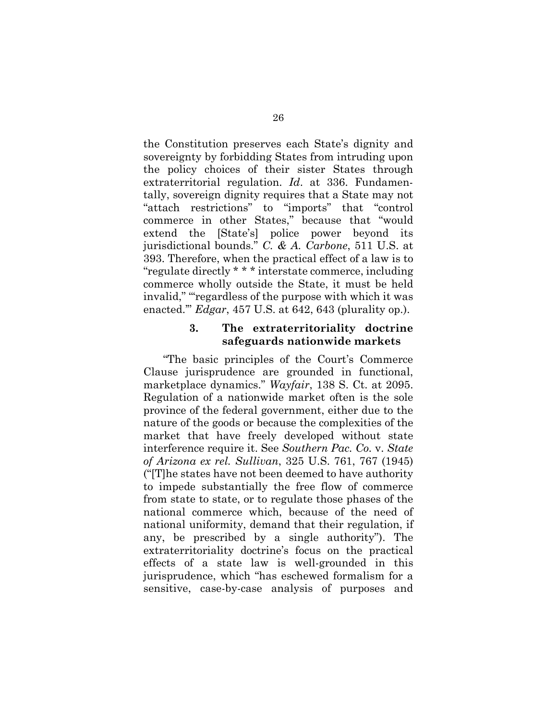<span id="page-42-2"></span>the Constitution preserves each State's dignity and sovereignty by forbidding States from intruding upon the policy choices of their sister States through extraterritorial regulation. *Id*. at 336. Fundamentally, sovereign dignity requires that a State may not "attach restrictions" to "imports" that "control commerce in other States," because that "would extend the [State's] police power beyond its jurisdictional bounds." *C. & A. Carbone*, 511 U.S. at 393. Therefore, when the practical effect of a law is to "regulate directly \* \* \* interstate commerce, including commerce wholly outside the State, it must be held invalid," "regardless of the purpose with which it was enacted.'" *Edgar*, 457 U.S. at 642, 643 (plurality op.).

#### <span id="page-42-4"></span><span id="page-42-3"></span><span id="page-42-1"></span><span id="page-42-0"></span>**3. The extraterritoriality doctrine safeguards nationwide markets**

"The basic principles of the Court's Commerce Clause jurisprudence are grounded in functional, marketplace dynamics." *Wayfair*, 138 S. Ct. at 2095. Regulation of a nationwide market often is the sole province of the federal government, either due to the nature of the goods or because the complexities of the market that have freely developed without state interference require it. See *Southern Pac. Co.* v. *State of Arizona ex rel. Sullivan*, 325 U.S. 761, 767 (1945) ("[T]he states have not been deemed to have authority to impede substantially the free flow of commerce from state to state, or to regulate those phases of the national commerce which, because of the need of national uniformity, demand that their regulation, if any, be prescribed by a single authority"). The extraterritoriality doctrine's focus on the practical effects of a state law is well-grounded in this jurisprudence, which "has eschewed formalism for a sensitive, case-by-case analysis of purposes and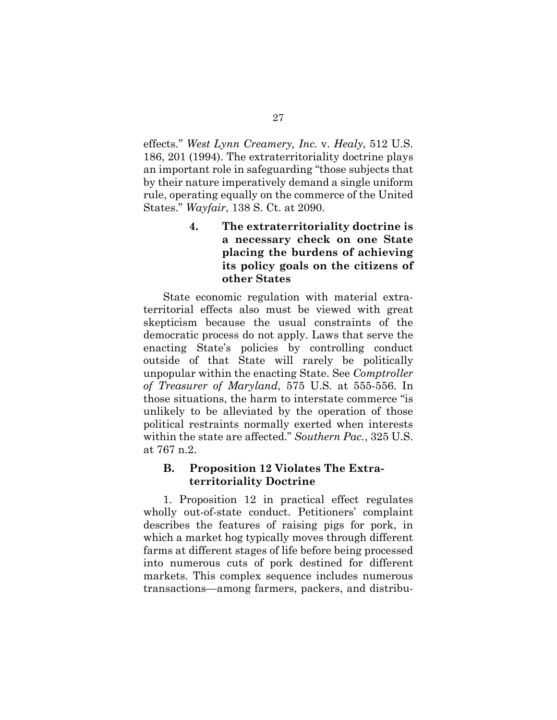<span id="page-43-3"></span>effects." *West Lynn Creamery, Inc.* v. *Healy*, 512 U.S. 186, 201 (1994). The extraterritoriality doctrine plays an important role in safeguarding "those subjects that by their nature imperatively demand a single uniform rule, operating equally on the commerce of the United States." *Wayfair*, 138 S. Ct. at 2090.

### <span id="page-43-1"></span>**4. The extraterritoriality doctrine is a necessary check on one State placing the burdens of achieving its policy goals on the citizens of other States**

State economic regulation with material extraterritorial effects also must be viewed with great skepticism because the usual constraints of the democratic process do not apply. Laws that serve the enacting State's policies by controlling conduct outside of that State will rarely be politically unpopular within the enacting State. See *Comptroller of Treasurer of Maryland*, 575 U.S. at 555-556. In those situations, the harm to interstate commerce "is unlikely to be alleviated by the operation of those political restraints normally exerted when interests within the state are affected." *Southern Pac.*, 325 U.S. at 767 n.2.

### <span id="page-43-2"></span><span id="page-43-0"></span>**B. Proposition 12 Violates The Extraterritoriality Doctrine**

1. Proposition 12 in practical effect regulates wholly out-of-state conduct. Petitioners' complaint describes the features of raising pigs for pork, in which a market hog typically moves through different farms at different stages of life before being processed into numerous cuts of pork destined for different markets. This complex sequence includes numerous transactions—among farmers, packers, and distribu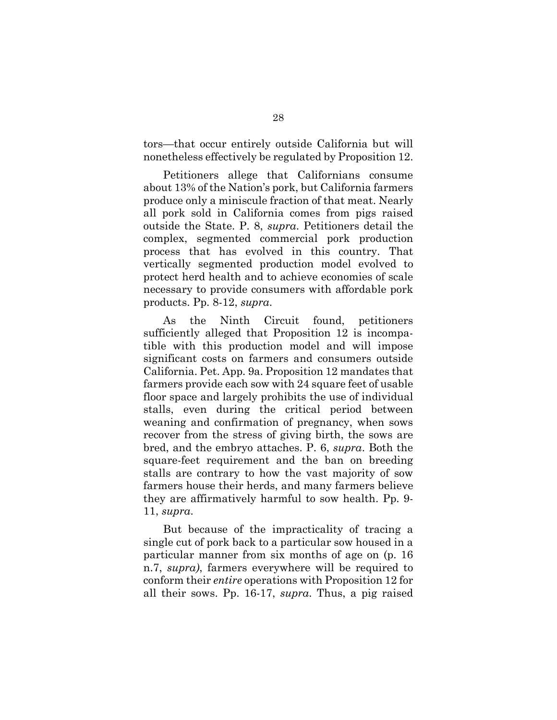tors—that occur entirely outside California but will nonetheless effectively be regulated by Proposition 12.

Petitioners allege that Californians consume about 13% of the Nation's pork, but California farmers produce only a miniscule fraction of that meat. Nearly all pork sold in California comes from pigs raised outside the State. P. 8, *supra*. Petitioners detail the complex, segmented commercial pork production process that has evolved in this country. That vertically segmented production model evolved to protect herd health and to achieve economies of scale necessary to provide consumers with affordable pork products. Pp. 8-12, *supra*.

As the Ninth Circuit found, petitioners sufficiently alleged that Proposition 12 is incompatible with this production model and will impose significant costs on farmers and consumers outside California. Pet. App. 9a. Proposition 12 mandates that farmers provide each sow with 24 square feet of usable floor space and largely prohibits the use of individual stalls, even during the critical period between weaning and confirmation of pregnancy, when sows recover from the stress of giving birth, the sows are bred, and the embryo attaches. P. 6, *supra*. Both the square-feet requirement and the ban on breeding stalls are contrary to how the vast majority of sow farmers house their herds, and many farmers believe they are affirmatively harmful to sow health. Pp. 9- 11, *supra*.

But because of the impracticality of tracing a single cut of pork back to a particular sow housed in a particular manner from six months of age on (p. 16 n.7, *supra)*, farmers everywhere will be required to conform their *entire* operations with Proposition 12 for all their sows. Pp. 16-17, *supra*. Thus, a pig raised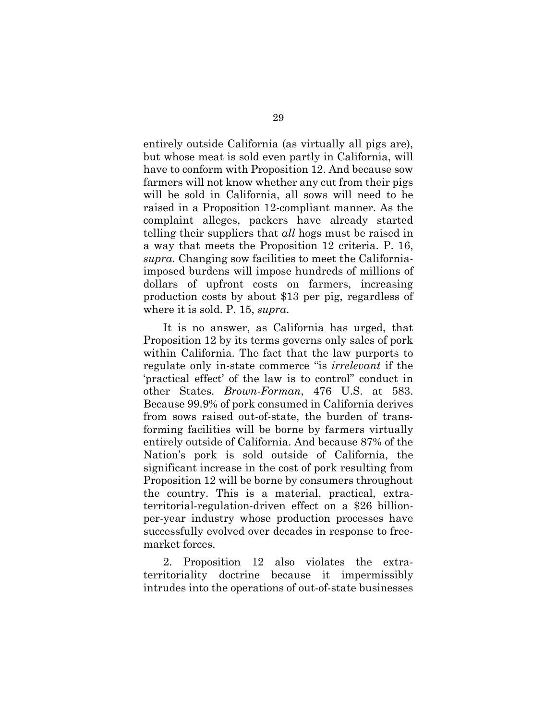entirely outside California (as virtually all pigs are), but whose meat is sold even partly in California, will have to conform with Proposition 12. And because sow farmers will not know whether any cut from their pigs will be sold in California, all sows will need to be raised in a Proposition 12-compliant manner. As the complaint alleges, packers have already started telling their suppliers that *all* hogs must be raised in a way that meets the Proposition 12 criteria. P. 16, *supra*. Changing sow facilities to meet the Californiaimposed burdens will impose hundreds of millions of dollars of upfront costs on farmers, increasing production costs by about \$13 per pig, regardless of where it is sold. P. 15, *supra*.

<span id="page-45-0"></span>It is no answer, as California has urged, that Proposition 12 by its terms governs only sales of pork within California. The fact that the law purports to regulate only in-state commerce "is *irrelevant* if the 'practical effect' of the law is to control" conduct in other States. *Brown-Forman*, 476 U.S. at 583. Because 99.9% of pork consumed in California derives from sows raised out-of-state, the burden of transforming facilities will be borne by farmers virtually entirely outside of California. And because 87% of the Nation's pork is sold outside of California, the significant increase in the cost of pork resulting from Proposition 12 will be borne by consumers throughout the country. This is a material, practical, extraterritorial-regulation-driven effect on a \$26 billionper-year industry whose production processes have successfully evolved over decades in response to freemarket forces.

2. Proposition 12 also violates the extraterritoriality doctrine because it impermissibly intrudes into the operations of out-of-state businesses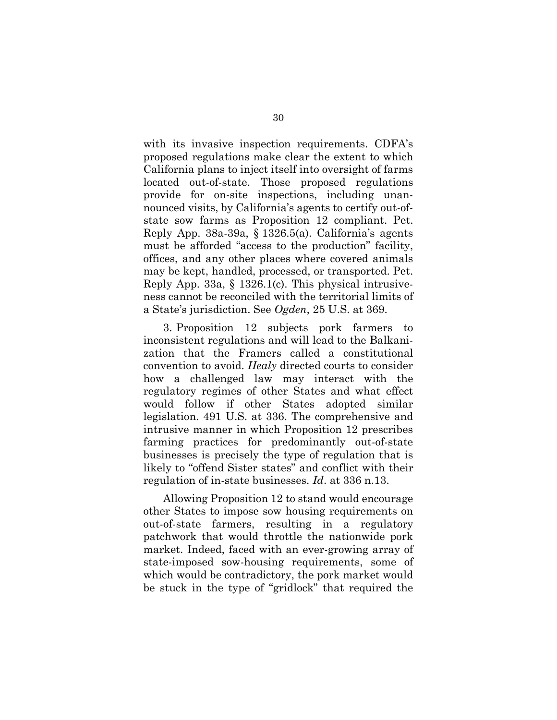with its invasive inspection requirements. CDFA's proposed regulations make clear the extent to which California plans to inject itself into oversight of farms located out-of-state. Those proposed regulations provide for on-site inspections, including unannounced visits, by California's agents to certify out-ofstate sow farms as Proposition 12 compliant. Pet. Reply App. 38a-39a, § 1326.5(a). California's agents must be afforded "access to the production" facility, offices, and any other places where covered animals may be kept, handled, processed, or transported. Pet. Reply App. 33a, § 1326.1(c). This physical intrusiveness cannot be reconciled with the territorial limits of a State's jurisdiction. See *Ogden*, 25 U.S. at 369.

<span id="page-46-1"></span><span id="page-46-0"></span>3. Proposition 12 subjects pork farmers to inconsistent regulations and will lead to the Balkanization that the Framers called a constitutional convention to avoid. *Healy* directed courts to consider how a challenged law may interact with the regulatory regimes of other States and what effect would follow if other States adopted similar legislation. 491 U.S. at 336. The comprehensive and intrusive manner in which Proposition 12 prescribes farming practices for predominantly out-of-state businesses is precisely the type of regulation that is likely to "offend Sister states" and conflict with their regulation of in-state businesses. *Id*. at 336 n.13.

Allowing Proposition 12 to stand would encourage other States to impose sow housing requirements on out-of-state farmers, resulting in a regulatory patchwork that would throttle the nationwide pork market. Indeed, faced with an ever-growing array of state-imposed sow-housing requirements, some of which would be contradictory, the pork market would be stuck in the type of "gridlock" that required the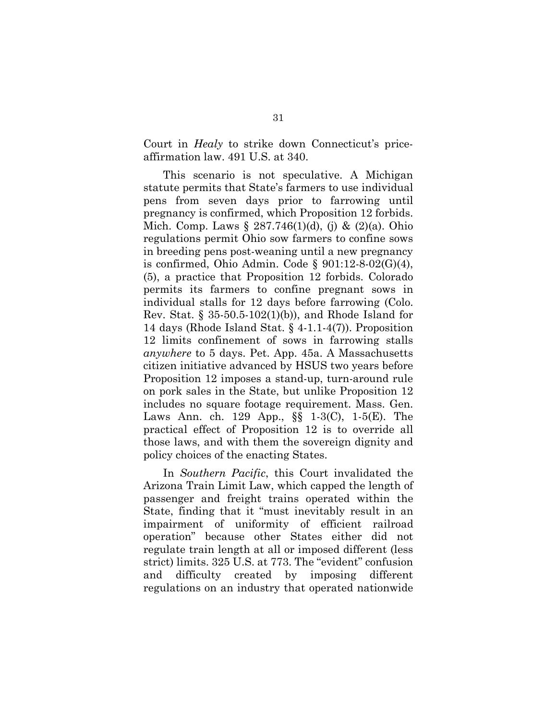<span id="page-47-0"></span>Court in *Healy* to strike down Connecticut's priceaffirmation law. 491 U.S. at 340.

<span id="page-47-9"></span><span id="page-47-8"></span><span id="page-47-7"></span><span id="page-47-6"></span><span id="page-47-5"></span><span id="page-47-2"></span>This scenario is not speculative. A Michigan statute permits that State's farmers to use individual pens from seven days prior to farrowing until pregnancy is confirmed, which Proposition 12 forbids. Mich. Comp. Laws  $\S 287.746(1)(d)$ , (j) &  $(2)(a)$ . Ohio regulations permit Ohio sow farmers to confine sows in breeding pens post-weaning until a new pregnancy is confirmed, Ohio Admin. Code  $\S$  901:12-8-02(G)(4), (5), a practice that Proposition 12 forbids. Colorado permits its farmers to confine pregnant sows in individual stalls for 12 days before farrowing (Colo. Rev. Stat. § 35-50.5-102(1)(b)), and Rhode Island for 14 days (Rhode Island Stat. § 4-1.1-4(7)). Proposition 12 limits confinement of sows in farrowing stalls *anywhere* to 5 days. Pet. App. 45a. A Massachusetts citizen initiative advanced by HSUS two years before Proposition 12 imposes a stand-up, turn-around rule on pork sales in the State, but unlike Proposition 12 includes no square footage requirement. Mass. Gen. Laws Ann. ch. 129 App., §§ 1-3(C), 1-5(E). The practical effect of Proposition 12 is to override all those laws, and with them the sovereign dignity and policy choices of the enacting States.

<span id="page-47-10"></span><span id="page-47-4"></span><span id="page-47-3"></span><span id="page-47-1"></span>In *Southern Pacific*, this Court invalidated the Arizona Train Limit Law, which capped the length of passenger and freight trains operated within the State, finding that it "must inevitably result in an impairment of uniformity of efficient railroad operation" because other States either did not regulate train length at all or imposed different (less strict) limits. 325 U.S. at 773. The "evident" confusion and difficulty created by imposing different regulations on an industry that operated nationwide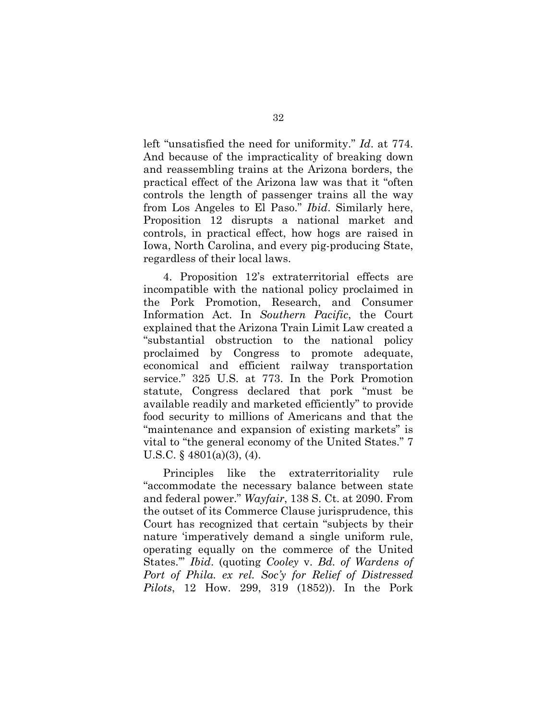<span id="page-48-1"></span>left "unsatisfied the need for uniformity." *Id*. at 774. And because of the impracticality of breaking down and reassembling trains at the Arizona borders, the practical effect of the Arizona law was that it "often controls the length of passenger trains all the way from Los Angeles to El Paso." *Ibid*. Similarly here, Proposition 12 disrupts a national market and controls, in practical effect, how hogs are raised in Iowa, North Carolina, and every pig-producing State, regardless of their local laws.

4. Proposition 12's extraterritorial effects are incompatible with the national policy proclaimed in the Pork Promotion, Research, and Consumer Information Act. In *Southern Pacific*, the Court explained that the Arizona Train Limit Law created a "substantial obstruction to the national policy proclaimed by Congress to promote adequate, economical and efficient railway transportation service." 325 U.S. at 773. In the Pork Promotion statute, Congress declared that pork "must be available readily and marketed efficiently" to provide food security to millions of Americans and that the "maintenance and expansion of existing markets" is vital to "the general economy of the United States." 7 U.S.C.  $\frac{6}{9}$  4801(a)(3), (4).

<span id="page-48-3"></span><span id="page-48-2"></span><span id="page-48-0"></span>Principles like the extraterritoriality rule "accommodate the necessary balance between state and federal power." *Wayfair*, 138 S. Ct. at 2090. From the outset of its Commerce Clause jurisprudence, this Court has recognized that certain "subjects by their nature 'imperatively demand a single uniform rule, operating equally on the commerce of the United States.'" *Ibid*. (quoting *Cooley* v. *Bd. of Wardens of Port of Phila. ex rel. Soc'y for Relief of Distressed Pilots*, 12 How. 299, 319 (1852)). In the Pork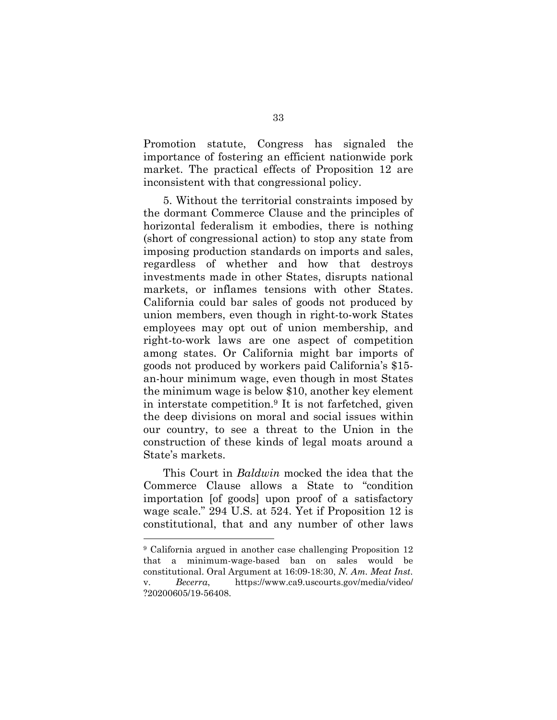Promotion statute, Congress has signaled the importance of fostering an efficient nationwide pork market. The practical effects of Proposition 12 are inconsistent with that congressional policy.

5. Without the territorial constraints imposed by the dormant Commerce Clause and the principles of horizontal federalism it embodies, there is nothing (short of congressional action) to stop any state from imposing production standards on imports and sales, regardless of whether and how that destroys investments made in other States, disrupts national markets, or inflames tensions with other States. California could bar sales of goods not produced by union members, even though in right-to-work States employees may opt out of union membership, and right-to-work laws are one aspect of competition among states. Or California might bar imports of goods not produced by workers paid California's \$15 an-hour minimum wage, even though in most States the minimum wage is below \$10, another key element in interstate competition.9 It is not farfetched, given the deep divisions on moral and social issues within our country, to see a threat to the Union in the construction of these kinds of legal moats around a State's markets.

<span id="page-49-0"></span>This Court in *Baldwin* mocked the idea that the Commerce Clause allows a State to "condition importation [of goods] upon proof of a satisfactory wage scale." 294 U.S. at 524. Yet if Proposition 12 is constitutional, that and any number of other laws

l

<sup>9</sup> California argued in another case challenging Proposition 12 that a minimum-wage-based ban on sales would be constitutional. Oral Argument at 16:09-18:30, *N. Am. Meat Inst.* v. *Becerra*, [https://www.ca9.uscourts.gov/media/video/](https://www.ca9.uscourts.gov/media/video/%20?20200605/19-56408)  [?20200605/19-56408.](https://www.ca9.uscourts.gov/media/video/%20?20200605/19-56408)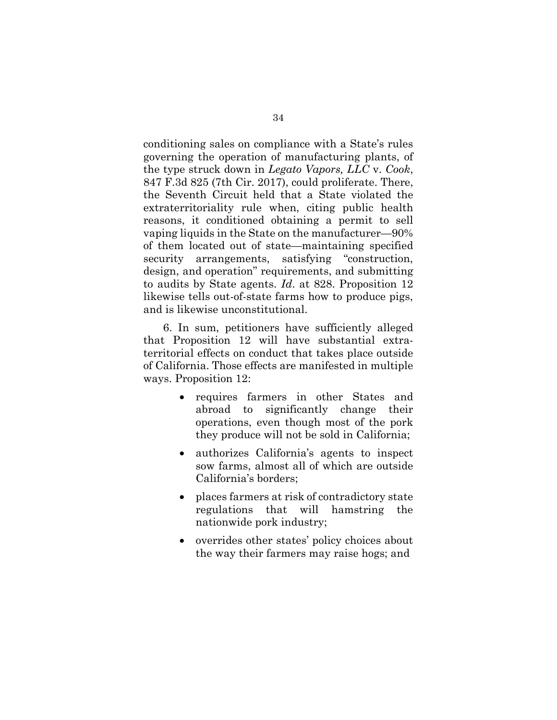<span id="page-50-0"></span>conditioning sales on compliance with a State's rules governing the operation of manufacturing plants, of the type struck down in *Legato Vapors, LLC* v. *Cook*, 847 F.3d 825 (7th Cir. 2017), could proliferate. There, the Seventh Circuit held that a State violated the extraterritoriality rule when, citing public health reasons, it conditioned obtaining a permit to sell vaping liquids in the State on the manufacturer—90% of them located out of state—maintaining specified security arrangements, satisfying "construction, design, and operation" requirements, and submitting to audits by State agents. *Id*. at 828. Proposition 12 likewise tells out-of-state farms how to produce pigs, and is likewise unconstitutional.

6. In sum, petitioners have sufficiently alleged that Proposition 12 will have substantial extraterritorial effects on conduct that takes place outside of California. Those effects are manifested in multiple ways. Proposition 12:

- requires farmers in other States and abroad to significantly change their operations, even though most of the pork they produce will not be sold in California;
- authorizes California's agents to inspect sow farms, almost all of which are outside California's borders;
- places farmers at risk of contradictory state regulations that will hamstring the nationwide pork industry;
- overrides other states' policy choices about the way their farmers may raise hogs; and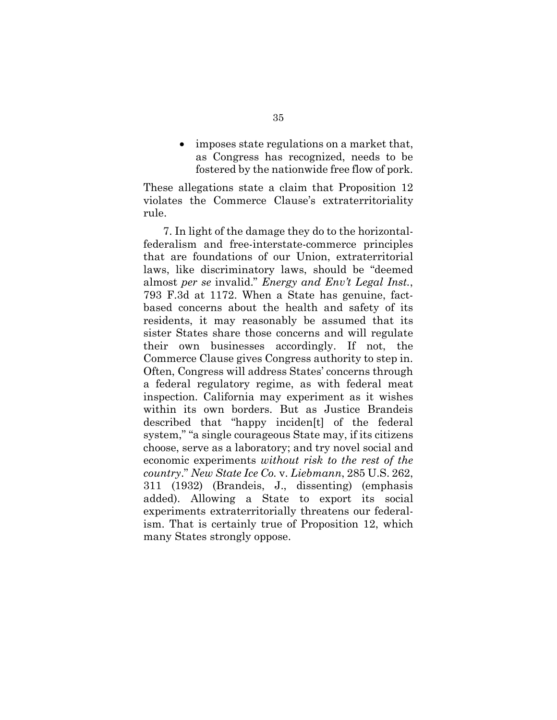imposes state regulations on a market that, as Congress has recognized, needs to be fostered by the nationwide free flow of pork.

These allegations state a claim that Proposition 12 violates the Commerce Clause's extraterritoriality rule.

<span id="page-51-1"></span><span id="page-51-0"></span>7. In light of the damage they do to the horizontalfederalism and free-interstate-commerce principles that are foundations of our Union, extraterritorial laws, like discriminatory laws, should be "deemed almost *per se* invalid." *Energy and Env't Legal Inst.*, 793 F.3d at 1172. When a State has genuine, factbased concerns about the health and safety of its residents, it may reasonably be assumed that its sister States share those concerns and will regulate their own businesses accordingly. If not, the Commerce Clause gives Congress authority to step in. Often, Congress will address States' concerns through a federal regulatory regime, as with federal meat inspection. California may experiment as it wishes within its own borders. But as Justice Brandeis described that "happy inciden[t] of the federal system," "a single courageous State may, if its citizens choose, serve as a laboratory; and try novel social and economic experiments *without risk to the rest of the country*." *New State Ice Co.* v. *Liebmann*, 285 U.S. 262, 311 (1932) (Brandeis, J., dissenting) (emphasis added). Allowing a State to export its social experiments extraterritorially threatens our federalism. That is certainly true of Proposition 12, which many States strongly oppose.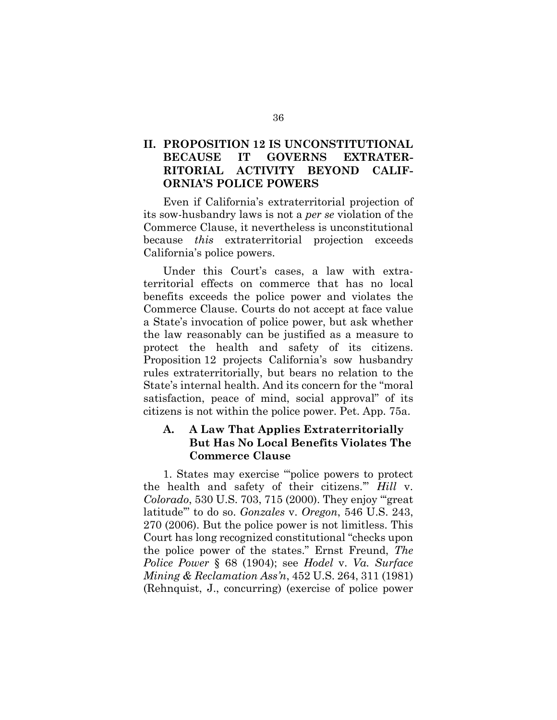### **II. PROPOSITION 12 IS UNCONSTITUTIONAL BECAUSE IT GOVERNS EXTRATER-RITORIAL ACTIVITY BEYOND CALIF-ORNIA'S POLICE POWERS**

Even if California's extraterritorial projection of its sow-husbandry laws is not a *per se* violation of the Commerce Clause, it nevertheless is unconstitutional because *this* extraterritorial projection exceeds California's police powers.

Under this Court's cases, a law with extraterritorial effects on commerce that has no local benefits exceeds the police power and violates the Commerce Clause. Courts do not accept at face value a State's invocation of police power, but ask whether the law reasonably can be justified as a measure to protect the health and safety of its citizens. Proposition 12 projects California's sow husbandry rules extraterritorially, but bears no relation to the State's internal health. And its concern for the "moral satisfaction, peace of mind, social approval" of its citizens is not within the police power. Pet. App. 75a.

### <span id="page-52-1"></span>**A. A Law That Applies Extraterritorially But Has No Local Benefits Violates The Commerce Clause**

<span id="page-52-2"></span><span id="page-52-0"></span>1. States may exercise "'police powers to protect the health and safety of their citizens.'" *Hill* v. *Colorado*, 530 U.S. 703, 715 (2000). They enjoy "'great latitude'" to do so. *Gonzales* v. *Oregon*, 546 U.S. 243, 270 (2006). But the police power is not limitless. This Court has long recognized constitutional "checks upon the police power of the states." Ernst Freund, *The Police Power* § 68 (1904); see *Hodel* v. *Va. Surface Mining & Reclamation Ass'n*, 452 U.S. 264, 311 (1981) (Rehnquist, J., concurring) (exercise of police power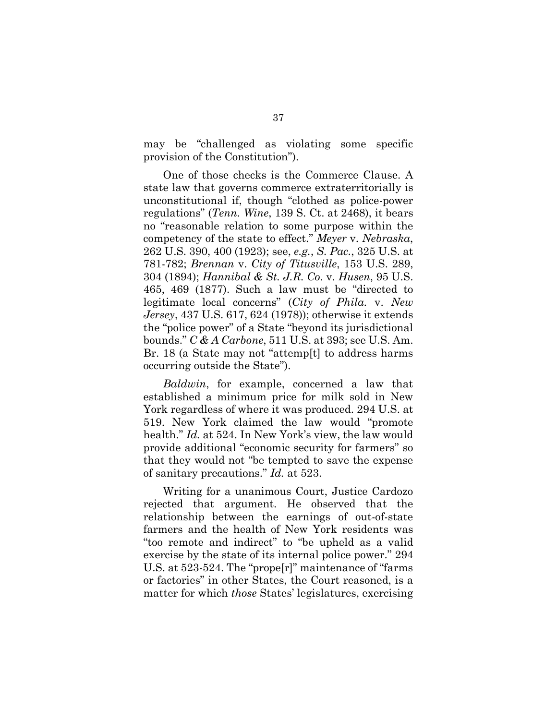may be "challenged as violating some specific provision of the Constitution").

<span id="page-53-7"></span><span id="page-53-6"></span><span id="page-53-5"></span><span id="page-53-4"></span><span id="page-53-1"></span>One of those checks is the Commerce Clause. A state law that governs commerce extraterritorially is unconstitutional if, though "clothed as police-power regulations" (*Tenn. Wine*, 139 S. Ct. at 2468), it bears no "reasonable relation to some purpose within the competency of the state to effect." *Meyer* v. *Nebraska*, 262 U.S. 390, 400 (1923); see, *e.g.*, *S. Pac.*, 325 U.S. at 781-782; *Brennan* v. *City of Titusville*, 153 U.S. 289, 304 (1894); *Hannibal & St. J.R. Co.* v. *Husen*, 95 U.S. 465, 469 (1877). Such a law must be "directed to legitimate local concerns" (*City of Phila.* v. *New Jersey*, 437 U.S. 617, 624 (1978)); otherwise it extends the "police power" of a State "beyond its jurisdictional bounds." *C & A Carbone*, 511 U.S. at 393; see U.S. Am. Br. 18 (a State may not "attemp[t] to address harms occurring outside the State").

<span id="page-53-3"></span><span id="page-53-2"></span><span id="page-53-0"></span>*Baldwin*, for example, concerned a law that established a minimum price for milk sold in New York regardless of where it was produced. 294 U.S. at 519. New York claimed the law would "promote health." *Id.* at 524. In New York's view, the law would provide additional "economic security for farmers" so that they would not "be tempted to save the expense of sanitary precautions." *Id.* at 523.

Writing for a unanimous Court, Justice Cardozo rejected that argument. He observed that the relationship between the earnings of out-of-state farmers and the health of New York residents was "too remote and indirect" to "be upheld as a valid exercise by the state of its internal police power." 294 U.S. at 523-524. The "prope[r]" maintenance of "farms or factories" in other States, the Court reasoned, is a matter for which *those* States' legislatures, exercising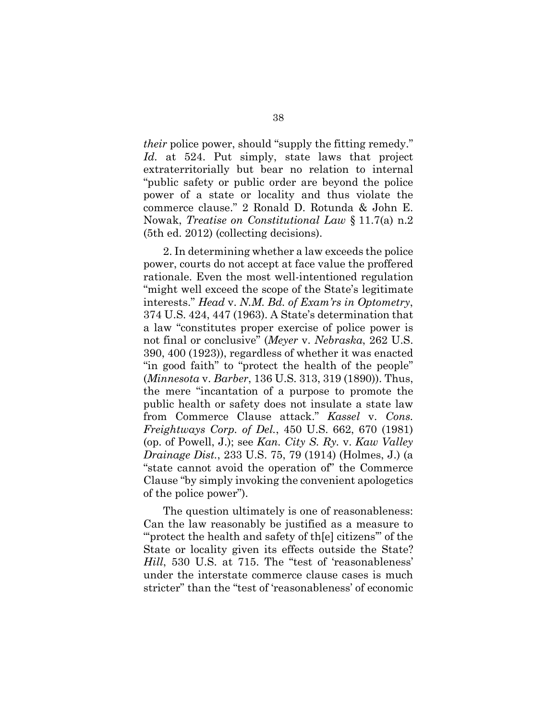<span id="page-54-0"></span>*their* police power, should "supply the fitting remedy." *Id.* at 524. Put simply, state laws that project extraterritorially but bear no relation to internal "public safety or public order are beyond the police power of a state or locality and thus violate the commerce clause." 2 Ronald D. Rotunda & John E. Nowak, *Treatise on Constitutional Law* § 11.7(a) n.2 (5th ed. 2012) (collecting decisions).

<span id="page-54-7"></span><span id="page-54-6"></span><span id="page-54-5"></span><span id="page-54-1"></span>2. In determining whether a law exceeds the police power, courts do not accept at face value the proffered rationale. Even the most well-intentioned regulation "might well exceed the scope of the State's legitimate interests." *Head* v. *N.M. Bd. of Exam'rs in Optometry*, 374 U.S. 424, 447 (1963). A State's determination that a law "constitutes proper exercise of police power is not final or conclusive" (*Meyer* v. *Nebraska*, 262 U.S. 390, 400 (1923)), regardless of whether it was enacted "in good faith" to "protect the health of the people" (*Minnesota* v. *Barber*, 136 U.S. 313, 319 (1890)). Thus, the mere "incantation of a purpose to promote the public health or safety does not insulate a state law from Commerce Clause attack." *Kassel* v. *Cons. Freightways Corp. of Del.*, 450 U.S. 662, 670 (1981) (op. of Powell, J.); see *Kan. City S. Ry.* v. *Kaw Valley Drainage Dist.*, 233 U.S. 75, 79 (1914) (Holmes, J.) (a "state cannot avoid the operation of" the Commerce Clause "by simply invoking the convenient apologetics of the police power").

<span id="page-54-4"></span><span id="page-54-3"></span><span id="page-54-2"></span>The question ultimately is one of reasonableness: Can the law reasonably be justified as a measure to "verotect the health and safety of the citizens" of the State or locality given its effects outside the State? *Hill*, 530 U.S. at 715. The "test of 'reasonableness' under the interstate commerce clause cases is much stricter" than the "test of 'reasonableness' of economic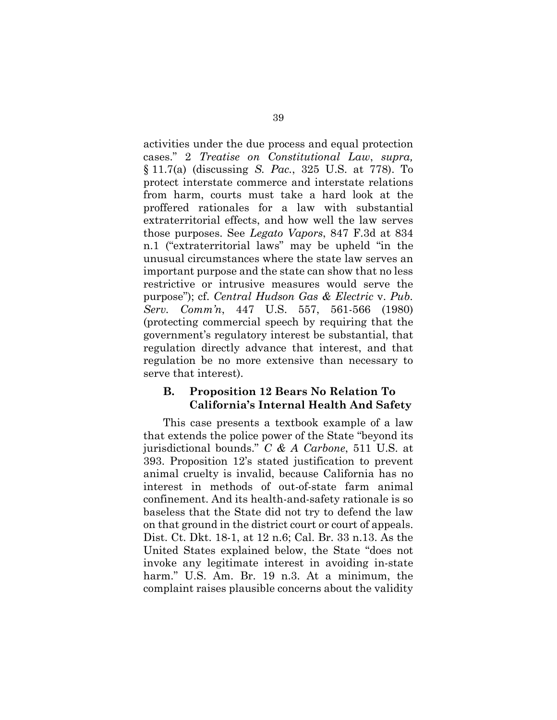<span id="page-55-3"></span><span id="page-55-2"></span>activities under the due process and equal protection cases." 2 *Treatise on Constitutional Law*, *supra,*  § 11.7(a) (discussing *S. Pac.*, 325 U.S. at 778). To protect interstate commerce and interstate relations from harm, courts must take a hard look at the proffered rationales for a law with substantial extraterritorial effects, and how well the law serves those purposes. See *Legato Vapors*, 847 F.3d at 834 n.1 ("extraterritorial laws" may be upheld "in the unusual circumstances where the state law serves an important purpose and the state can show that no less restrictive or intrusive measures would serve the purpose"); cf. *Central Hudson Gas & Electric* v. *Pub. Serv. Comm'n*, 447 U.S. 557, 561-566 (1980) (protecting commercial speech by requiring that the government's regulatory interest be substantial, that regulation directly advance that interest, and that regulation be no more extensive than necessary to serve that interest).

### <span id="page-55-1"></span><span id="page-55-0"></span>**B. Proposition 12 Bears No Relation To California's Internal Health And Safety**

This case presents a textbook example of a law that extends the police power of the State "beyond its jurisdictional bounds." *C & A Carbone*, 511 U.S. at 393. Proposition 12's stated justification to prevent animal cruelty is invalid, because California has no interest in methods of out-of-state farm animal confinement. And its health-and-safety rationale is so baseless that the State did not try to defend the law on that ground in the district court or court of appeals. Dist. Ct. Dkt. 18-1, at 12 n.6; Cal. Br. 33 n.13. As the United States explained below, the State "does not invoke any legitimate interest in avoiding in-state harm." U.S. Am. Br. 19 n.3. At a minimum, the complaint raises plausible concerns about the validity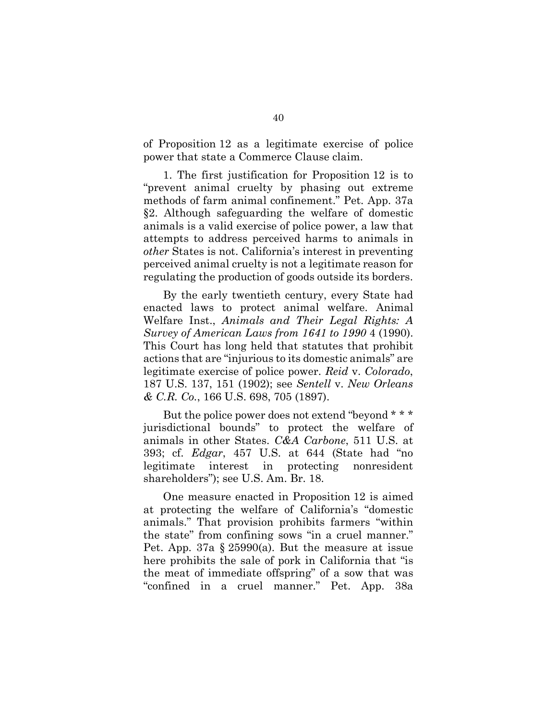of Proposition 12 as a legitimate exercise of police power that state a Commerce Clause claim.

1. The first justification for Proposition 12 is to "prevent animal cruelty by phasing out extreme methods of farm animal confinement." Pet. App. 37a §2. Although safeguarding the welfare of domestic animals is a valid exercise of police power, a law that attempts to address perceived harms to animals in *other* States is not. California's interest in preventing perceived animal cruelty is not a legitimate reason for regulating the production of goods outside its borders.

<span id="page-56-4"></span>By the early twentieth century, every State had enacted laws to protect animal welfare. Animal Welfare Inst., *Animals and Their Legal Rights: A Survey of American Laws from 1641 to 1990* 4 (1990). This Court has long held that statutes that prohibit actions that are "injurious to its domestic animals" are legitimate exercise of police power. *Reid* v. *Colorado*, 187 U.S. 137, 151 (1902); see *Sentell* v. *New Orleans & C.R. Co.*, 166 U.S. 698, 705 (1897).

<span id="page-56-3"></span><span id="page-56-2"></span><span id="page-56-1"></span><span id="page-56-0"></span>But the police power does not extend "beyond \* \* \* jurisdictional bounds" to protect the welfare of animals in other States. *C&A Carbone*, 511 U.S. at 393; cf. *Edgar*, 457 U.S. at 644 (State had "no legitimate interest in protecting nonresident shareholders"); see U.S. Am. Br. 18.

One measure enacted in Proposition 12 is aimed at protecting the welfare of California's "domestic animals." That provision prohibits farmers "within the state" from confining sows "in a cruel manner." Pet. App. 37a § 25990(a). But the measure at issue here prohibits the sale of pork in California that "is the meat of immediate offspring" of a sow that was "confined in a cruel manner." Pet. App. 38a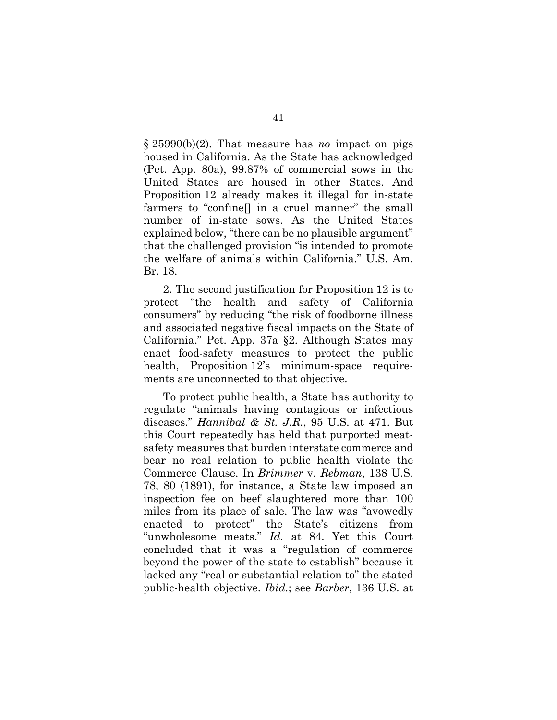§ 25990(b)(2). That measure has *no* impact on pigs housed in California. As the State has acknowledged (Pet. App. 80a), 99.87% of commercial sows in the United States are housed in other States. And Proposition 12 already makes it illegal for in-state farmers to "confine[] in a cruel manner" the small number of in-state sows. As the United States explained below, "there can be no plausible argument" that the challenged provision "is intended to promote the welfare of animals within California." U.S. Am. Br. 18.

2. The second justification for Proposition 12 is to protect "the health and safety of California consumers" by reducing "the risk of foodborne illness and associated negative fiscal impacts on the State of California." Pet. App. 37a §2. Although States may enact food-safety measures to protect the public health, Proposition 12's minimum-space requirements are unconnected to that objective.

<span id="page-57-2"></span><span id="page-57-1"></span><span id="page-57-0"></span>To protect public health, a State has authority to regulate "animals having contagious or infectious diseases." *Hannibal & St. J.R.*, 95 U.S. at 471. But this Court repeatedly has held that purported meatsafety measures that burden interstate commerce and bear no real relation to public health violate the Commerce Clause. In *Brimmer* v. *Rebman*, 138 U.S. 78, 80 (1891), for instance, a State law imposed an inspection fee on beef slaughtered more than 100 miles from its place of sale. The law was "avowedly enacted to protect" the State's citizens from "unwholesome meats." *Id.* at 84. Yet this Court concluded that it was a "regulation of commerce beyond the power of the state to establish" because it lacked any "real or substantial relation to" the stated public-health objective. *Ibid.*; see *Barber*, 136 U.S. at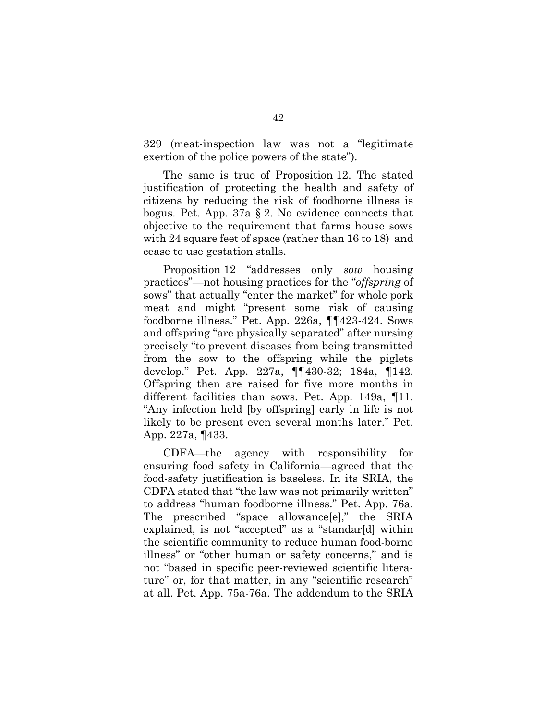329 (meat-inspection law was not a "legitimate exertion of the police powers of the state").

The same is true of Proposition 12. The stated justification of protecting the health and safety of citizens by reducing the risk of foodborne illness is bogus. Pet. App. 37a § 2. No evidence connects that objective to the requirement that farms house sows with 24 square feet of space (rather than 16 to 18) and cease to use gestation stalls.

Proposition 12 "addresses only *sow* housing practices"—not housing practices for the "*offspring* of sows" that actually "enter the market" for whole pork meat and might "present some risk of causing foodborne illness." Pet. App. 226a, ¶¶423-424. Sows and offspring "are physically separated" after nursing precisely "to prevent diseases from being transmitted from the sow to the offspring while the piglets develop." Pet. App. 227a, ¶¶430-32; 184a, ¶142. Offspring then are raised for five more months in different facilities than sows. Pet. App. 149a, ¶11. "Any infection held [by offspring] early in life is not likely to be present even several months later." Pet. App. 227a, ¶433.

CDFA—the agency with responsibility for ensuring food safety in California—agreed that the food-safety justification is baseless. In its SRIA, the CDFA stated that "the law was not primarily written" to address "human foodborne illness." Pet. App. 76a. The prescribed "space allowance[e]," the SRIA explained, is not "accepted" as a "standar[d] within the scientific community to reduce human food-borne illness" or "other human or safety concerns," and is not "based in specific peer-reviewed scientific literature" or, for that matter, in any "scientific research" at all. Pet. App. 75a-76a. The addendum to the SRIA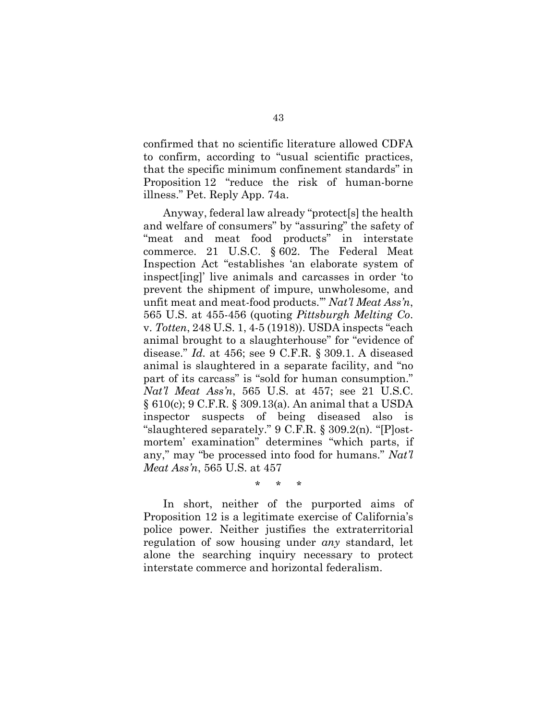confirmed that no scientific literature allowed CDFA to confirm, according to "usual scientific practices, that the specific minimum confinement standards" in Proposition 12 "reduce the risk of human-borne illness." Pet. Reply App. 74a.

<span id="page-59-1"></span>Anyway, federal law already "protect[s] the health and welfare of consumers" by "assuring" the safety of "meat and meat food products" in interstate commerce. 21 U.S.C. § 602. The Federal Meat Inspection Act "establishes 'an elaborate system of inspect[ing]' live animals and carcasses in order 'to prevent the shipment of impure, unwholesome, and unfit meat and meat-food products.'" *Nat'l Meat Ass'n*, 565 U.S. at 455-456 (quoting *Pittsburgh Melting Co*. v. *Totten*, 248 U.S. 1, 4-5 (1918)). USDA inspects "each animal brought to a slaughterhouse" for "evidence of disease." *Id.* at 456; see 9 C.F.R. § 309.1. A diseased animal is slaughtered in a separate facility, and "no part of its carcass" is "sold for human consumption." *Nat'l Meat Ass'n*, 565 U.S. at 457; see 21 U.S.C. § 610(c); 9 C.F.R. § 309.13(a). An animal that a USDA inspector suspects of being diseased also is "slaughtered separately." 9 C.F.R. § 309.2(n). "[P]ostmortem' examination" determines "which parts, if any," may "be processed into food for humans." *Nat'l Meat Ass'n*, 565 U.S. at 457

<span id="page-59-5"></span><span id="page-59-4"></span><span id="page-59-3"></span><span id="page-59-2"></span><span id="page-59-0"></span>\* \* \*

In short, neither of the purported aims of Proposition 12 is a legitimate exercise of California's police power. Neither justifies the extraterritorial regulation of sow housing under *any* standard, let alone the searching inquiry necessary to protect interstate commerce and horizontal federalism.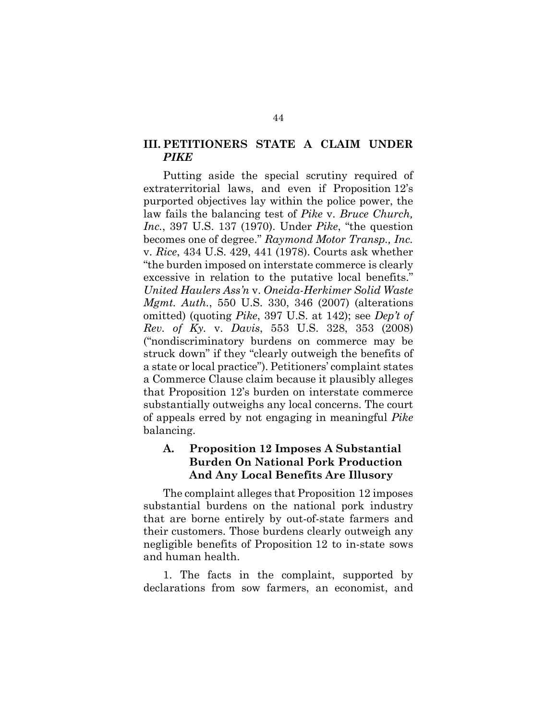### <span id="page-60-1"></span>**III. PETITIONERS STATE A CLAIM UNDER**  *PIKE*

<span id="page-60-3"></span><span id="page-60-2"></span>Putting aside the special scrutiny required of extraterritorial laws, and even if Proposition 12's purported objectives lay within the police power, the law fails the balancing test of *Pike* v. *Bruce Church, Inc.*, 397 U.S. 137 (1970). Under *Pike*, "the question becomes one of degree." *Raymond Motor Transp., Inc.* v. *Rice*, 434 U.S. 429, 441 (1978). Courts ask whether "the burden imposed on interstate commerce is clearly excessive in relation to the putative local benefits." *United Haulers Ass'n* v. *Oneida-Herkimer Solid Waste Mgmt. Auth.*, 550 U.S. 330, 346 (2007) (alterations omitted) (quoting *Pike*, 397 U.S. at 142); see *Dep't of Rev. of Ky.* v. *Davis*, 553 U.S. 328, 353 (2008) ("nondiscriminatory burdens on commerce may be struck down" if they "clearly outweigh the benefits of a state or local practice"). Petitioners' complaint states a Commerce Clause claim because it plausibly alleges that Proposition 12's burden on interstate commerce substantially outweighs any local concerns. The court of appeals erred by not engaging in meaningful *Pike*  balancing.

### <span id="page-60-0"></span>**A. Proposition 12 Imposes A Substantial Burden On National Pork Production And Any Local Benefits Are Illusory**

The complaint alleges that Proposition 12 imposes substantial burdens on the national pork industry that are borne entirely by out-of-state farmers and their customers. Those burdens clearly outweigh any negligible benefits of Proposition 12 to in-state sows and human health.

1. The facts in the complaint, supported by declarations from sow farmers, an economist, and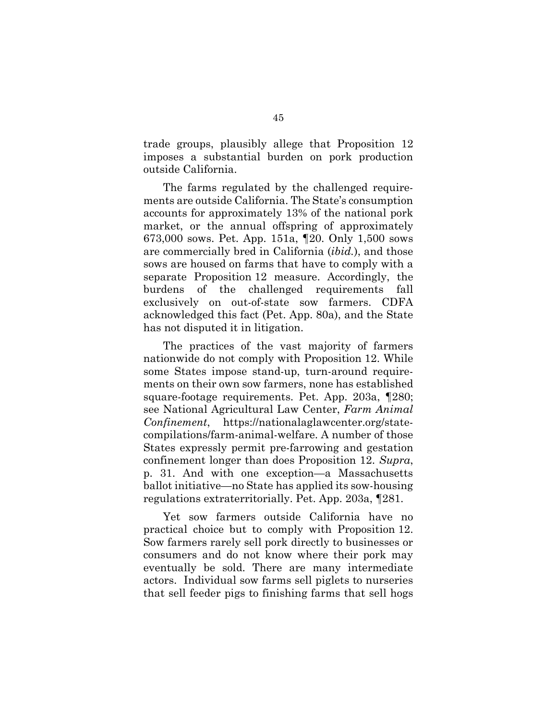trade groups, plausibly allege that Proposition 12 imposes a substantial burden on pork production outside California.

The farms regulated by the challenged requirements are outside California. The State's consumption accounts for approximately 13% of the national pork market, or the annual offspring of approximately 673,000 sows. Pet. App. 151a, ¶20. Only 1,500 sows are commercially bred in California (*ibid.*), and those sows are housed on farms that have to comply with a separate Proposition 12 measure. Accordingly, the burdens of the challenged requirements fall exclusively on out-of-state sow farmers. CDFA acknowledged this fact (Pet. App. 80a), and the State has not disputed it in litigation.

<span id="page-61-0"></span>The practices of the vast majority of farmers nationwide do not comply with Proposition 12. While some States impose stand-up, turn-around requirements on their own sow farmers, none has established square-footage requirements. Pet. App. 203a, ¶280; see National Agricultural Law Center, *Farm Animal Confinement*, [https://nationalaglawcenter.org/state](https://nationalaglawcenter.org/state-compilations/farm-animal-welfare)[compilations/farm-animal-welfare.](https://nationalaglawcenter.org/state-compilations/farm-animal-welfare) A number of those States expressly permit pre-farrowing and gestation confinement longer than does Proposition 12. *Supra*, p. 31. And with one exception—a Massachusetts ballot initiative—no State has applied its sow-housing regulations extraterritorially. Pet. App. 203a, ¶281.

Yet sow farmers outside California have no practical choice but to comply with Proposition 12. Sow farmers rarely sell pork directly to businesses or consumers and do not know where their pork may eventually be sold. There are many intermediate actors. Individual sow farms sell piglets to nurseries that sell feeder pigs to finishing farms that sell hogs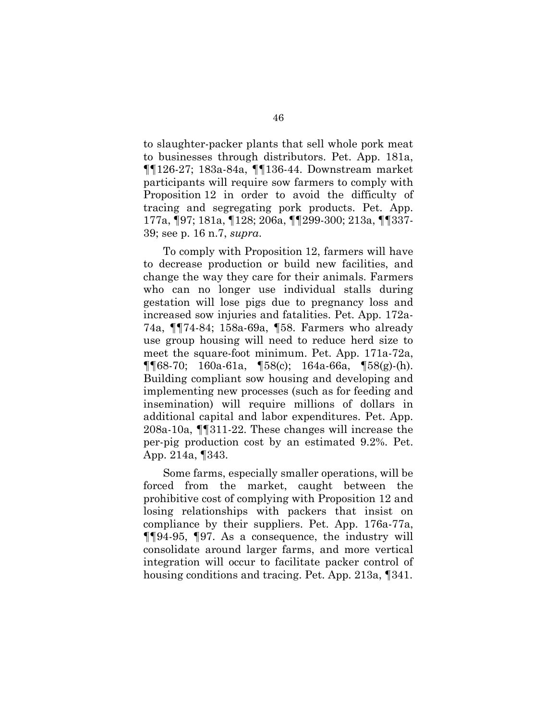to slaughter-packer plants that sell whole pork meat to businesses through distributors. Pet. App. 181a, ¶¶126-27; 183a-84a, ¶¶136-44. Downstream market participants will require sow farmers to comply with Proposition 12 in order to avoid the difficulty of tracing and segregating pork products. Pet. App. 177a, ¶97; 181a, ¶128; 206a, ¶¶299-300; 213a, ¶¶337- 39; see p. 16 n.7, *supra*.

To comply with Proposition 12, farmers will have to decrease production or build new facilities, and change the way they care for their animals. Farmers who can no longer use individual stalls during gestation will lose pigs due to pregnancy loss and increased sow injuries and fatalities. Pet. App. 172a-74a, ¶¶74-84; 158a-69a, ¶58. Farmers who already use group housing will need to reduce herd size to meet the square-foot minimum. Pet. App. 171a-72a, ¶¶68-70; 160a-61a, ¶58(c); 164a-66a, ¶58(g)-(h). Building compliant sow housing and developing and implementing new processes (such as for feeding and insemination) will require millions of dollars in additional capital and labor expenditures. Pet. App. 208a-10a, ¶¶311-22. These changes will increase the per-pig production cost by an estimated 9.2%. Pet. App. 214a, ¶343.

Some farms, especially smaller operations, will be forced from the market, caught between the prohibitive cost of complying with Proposition 12 and losing relationships with packers that insist on compliance by their suppliers. Pet. App. 176a-77a, ¶¶94-95, ¶97. As a consequence, the industry will consolidate around larger farms, and more vertical integration will occur to facilitate packer control of housing conditions and tracing. Pet. App. 213a, ¶341.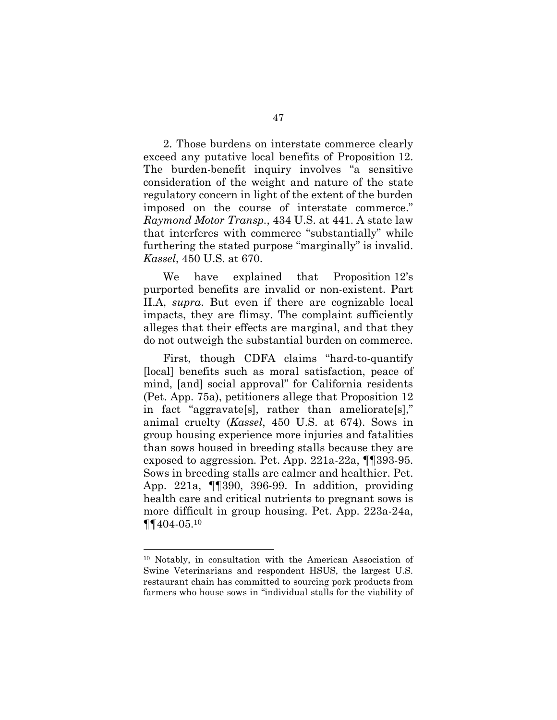2. Those burdens on interstate commerce clearly exceed any putative local benefits of Proposition 12. The burden-benefit inquiry involves "a sensitive consideration of the weight and nature of the state regulatory concern in light of the extent of the burden imposed on the course of interstate commerce." *Raymond Motor Transp.*, 434 U.S. at 441. A state law that interferes with commerce "substantially" while furthering the stated purpose "marginally" is invalid. *Kassel*, 450 U.S. at 670.

<span id="page-63-1"></span><span id="page-63-0"></span>We have explained that Proposition 12's purported benefits are invalid or non-existent. Part II.A, *supra*. But even if there are cognizable local impacts, they are flimsy. The complaint sufficiently alleges that their effects are marginal, and that they do not outweigh the substantial burden on commerce.

First, though CDFA claims "hard-to-quantify [local] benefits such as moral satisfaction, peace of mind, [and] social approval" for California residents (Pet. App. 75a), petitioners allege that Proposition 12 in fact "aggravate[s], rather than ameliorate[s]," animal cruelty (*Kassel*, 450 U.S. at 674). Sows in group housing experience more injuries and fatalities than sows housed in breeding stalls because they are exposed to aggression. Pet. App. 221a-22a, ¶¶393-95. Sows in breeding stalls are calmer and healthier. Pet. App. 221a, ¶¶390, 396-99. In addition, providing health care and critical nutrients to pregnant sows is more difficult in group housing. Pet. App. 223a-24a, ¶¶404-05.<sup>10</sup>

l

<sup>10</sup> Notably, in consultation with the American Association of Swine Veterinarians and respondent HSUS, the largest U.S. restaurant chain has committed to sourcing pork products from farmers who house sows in "individual stalls for the viability of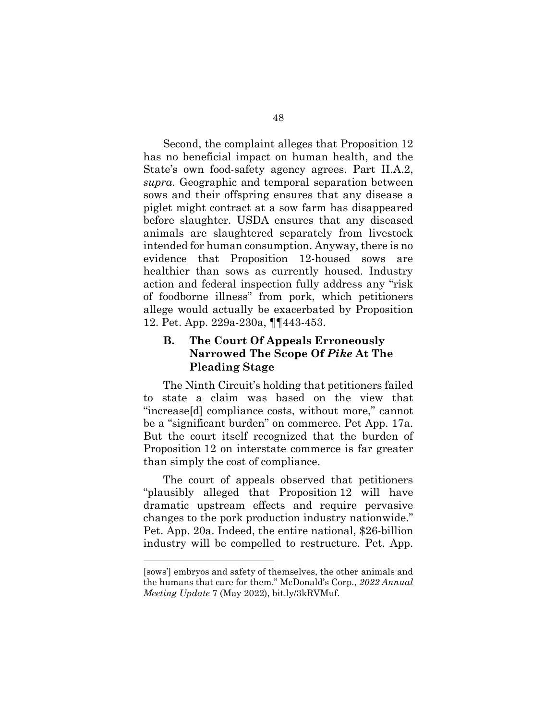Second, the complaint alleges that Proposition 12 has no beneficial impact on human health, and the State's own food-safety agency agrees. Part II.A.2, *supra*. Geographic and temporal separation between sows and their offspring ensures that any disease a piglet might contract at a sow farm has disappeared before slaughter. USDA ensures that any diseased animals are slaughtered separately from livestock intended for human consumption. Anyway, there is no evidence that Proposition 12-housed sows are healthier than sows as currently housed. Industry action and federal inspection fully address any "risk of foodborne illness" from pork, which petitioners allege would actually be exacerbated by Proposition 12. Pet. App. 229a-230a, ¶¶443-453.

### <span id="page-64-0"></span>**B. The Court Of Appeals Erroneously Narrowed The Scope Of** *Pike* **At The Pleading Stage**

The Ninth Circuit's holding that petitioners failed to state a claim was based on the view that "increase[d] compliance costs, without more," cannot be a "significant burden" on commerce. Pet App. 17a. But the court itself recognized that the burden of Proposition 12 on interstate commerce is far greater than simply the cost of compliance.

The court of appeals observed that petitioners "plausibly alleged that Proposition 12 will have dramatic upstream effects and require pervasive changes to the pork production industry nationwide." Pet. App. 20a. Indeed, the entire national, \$26-billion industry will be compelled to restructure. Pet. App.

<span id="page-64-1"></span>l

<sup>[</sup>sows'] embryos and safety of themselves, the other animals and the humans that care for them." McDonald's Corp., *2022 Annual Meeting Update* 7 (May 2022), bit.ly/3kRVMuf.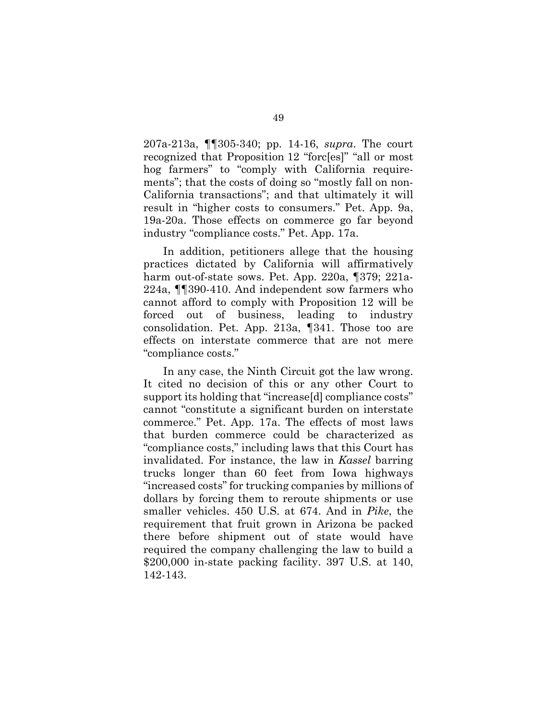207a-213a, ¶¶305-340; pp. 14-16, *supra*. The court recognized that Proposition 12 "forc[es]" "all or most hog farmers" to "comply with California requirements"; that the costs of doing so "mostly fall on non-California transactions"; and that ultimately it will result in "higher costs to consumers." Pet. App. 9a, 19a-20a. Those effects on commerce go far beyond industry "compliance costs." Pet. App. 17a.

In addition, petitioners allege that the housing practices dictated by California will affirmatively harm out-of-state sows. Pet. App. 220a, ¶379; 221a-224a, ¶¶390-410. And independent sow farmers who cannot afford to comply with Proposition 12 will be forced out of business, leading to industry consolidation. Pet. App. 213a, ¶341. Those too are effects on interstate commerce that are not mere "compliance costs."

<span id="page-65-1"></span><span id="page-65-0"></span>In any case, the Ninth Circuit got the law wrong. It cited no decision of this or any other Court to support its holding that "increase[d] compliance costs" cannot "constitute a significant burden on interstate commerce." Pet. App. 17a. The effects of most laws that burden commerce could be characterized as "compliance costs," including laws that this Court has invalidated. For instance, the law in *Kassel* barring trucks longer than 60 feet from Iowa highways "increased costs" for trucking companies by millions of dollars by forcing them to reroute shipments or use smaller vehicles. 450 U.S. at 674. And in *Pike*, the requirement that fruit grown in Arizona be packed there before shipment out of state would have required the company challenging the law to build a \$200,000 in-state packing facility. 397 U.S. at 140, 142-143.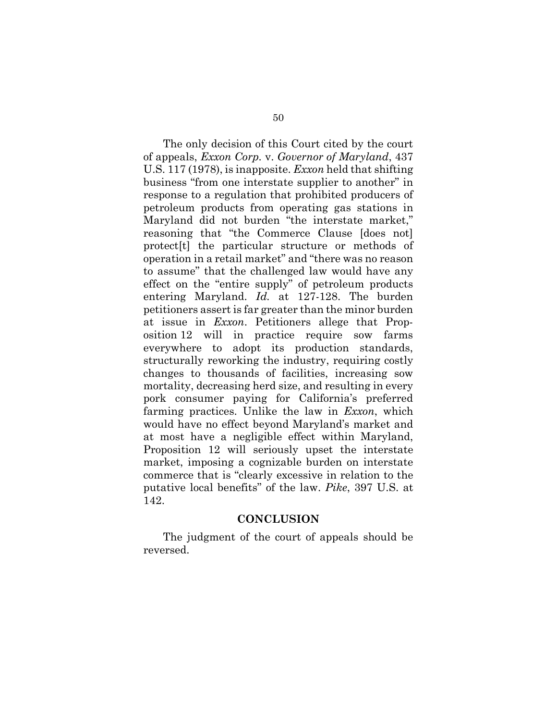<span id="page-66-0"></span>The only decision of this Court cited by the court of appeals, *Exxon Corp.* v. *Governor of Maryland*, 437 U.S. 117 (1978), is inapposite. *Exxon* held that shifting business "from one interstate supplier to another" in response to a regulation that prohibited producers of petroleum products from operating gas stations in Maryland did not burden "the interstate market," reasoning that "the Commerce Clause [does not] protect[t] the particular structure or methods of operation in a retail market" and "there was no reason to assume" that the challenged law would have any effect on the "entire supply" of petroleum products entering Maryland. *Id.* at 127-128. The burden petitioners assert is far greater than the minor burden at issue in *Exxon*. Petitioners allege that Proposition 12 will in practice require sow farms everywhere to adopt its production standards, structurally reworking the industry, requiring costly changes to thousands of facilities, increasing sow mortality, decreasing herd size, and resulting in every pork consumer paying for California's preferred farming practices. Unlike the law in *Exxon*, which would have no effect beyond Maryland's market and at most have a negligible effect within Maryland, Proposition 12 will seriously upset the interstate market, imposing a cognizable burden on interstate commerce that is "clearly excessive in relation to the putative local benefits" of the law. *Pike*, 397 U.S. at 142.

#### <span id="page-66-1"></span>**CONCLUSION**

The judgment of the court of appeals should be reversed.